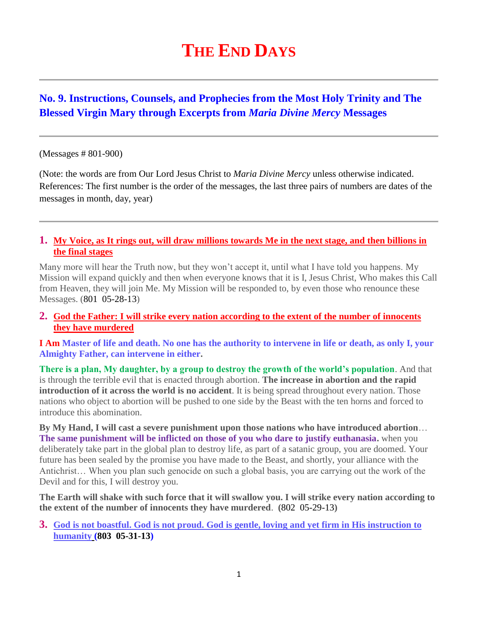# **THE END DAYS**

# **No. 9. Instructions, Counsels, and Prophecies from the Most Holy Trinity and The Blessed Virgin Mary through Excerpts from** *Maria Divine Mercy* **Messages**

#### (Messages # 801-900)

(Note: the words are from Our Lord Jesus Christ to *Maria Divine Mercy* unless otherwise indicated. References: The first number is the order of the messages, the last three pairs of numbers are dates of the messages in month, day, year)

#### **1. [My Voice, as It rings out, will draw millions towards Me in the next stage, and then billions in](http://www.thewarningsecondcoming.com/my-voice-as-it-rings-out-will-draw-millions-towards-me-in-the-next-stage-and-then-billions-in-the-final-stages/)  [the final stages](http://www.thewarningsecondcoming.com/my-voice-as-it-rings-out-will-draw-millions-towards-me-in-the-next-stage-and-then-billions-in-the-final-stages/)**

Many more will hear the Truth now, but they won't accept it, until what I have told you happens. My Mission will expand quickly and then when everyone knows that it is I, Jesus Christ, Who makes this Call from Heaven, they will join Me. My Mission will be responded to, by even those who renounce these Messages. (801 05-28-13)

#### **2. [God the Father: I will strike every nation according to the extent of the number of innocents](http://www.thewarningsecondcoming.com/god-the-father-i-will-strike-every-nation-according-to-the-extent-of-the-number-of-innocents-they-have-murdered/)  [they have murdered](http://www.thewarningsecondcoming.com/god-the-father-i-will-strike-every-nation-according-to-the-extent-of-the-number-of-innocents-they-have-murdered/)**

**I Am Master of life and death. No one has the authority to intervene in life or death, as only I, your Almighty Father, can intervene in either.**

**There is a plan, My daughter, by a group to destroy the growth of the world's population**. And that is through the terrible evil that is enacted through abortion. **The increase in abortion and the rapid introduction of it across the world is no accident**. It is being spread throughout every nation. Those nations who object to abortion will be pushed to one side by the Beast with the ten horns and forced to introduce this abomination.

**By My Hand, I will cast a severe punishment upon those nations who have introduced abortion**… **The same punishment will be inflicted on those of you who dare to justify euthanasia.** when you deliberately take part in the global plan to destroy life, as part of a satanic group, you are doomed. Your future has been sealed by the promise you have made to the Beast, and shortly, your alliance with the Antichrist… When you plan such genocide on such a global basis, you are carrying out the work of the Devil and for this, I will destroy you.

**The Earth will shake with such force that it will swallow you. I will strike every nation according to the extent of the number of innocents they have murdered**. **(**802 05-29-13**)**

#### **3. [God is not boastful. God is not proud. God is gentle, loving and yet firm in His instruction to](http://www.thewarningsecondcoming.com/god-is-not-boastful-god-is-not-proud-god-is-gentle-loving-and-yet-firm-in-his-instruction-to-humanity/)  [humanity](http://www.thewarningsecondcoming.com/god-is-not-boastful-god-is-not-proud-god-is-gentle-loving-and-yet-firm-in-his-instruction-to-humanity/) (803 05-31-13)**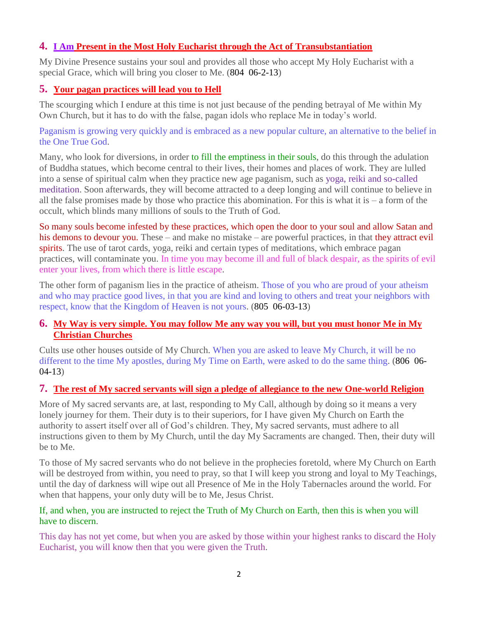### **4. I Am Present in the Most [Holy Eucharist through the Act of Transubstantiation](http://www.thewarningsecondcoming.com/i-am-present-in-the-most-holy-eucharist-through-the-act-of-transubstantiation/)**

My Divine Presence sustains your soul and provides all those who accept My Holy Eucharist with a special Grace, which will bring you closer to Me. (804 06-2-13)

### **5. [Your pagan practices will lead you to Hell](http://www.thewarningsecondcoming.com/your-pagan-practices-will-lead-you-to-hell/)**

The scourging which I endure at this time is not just because of the pending betrayal of Me within My Own Church, but it has to do with the false, pagan idols who replace Me in today's world.

Paganism is growing very quickly and is embraced as a new popular culture, an alternative to the belief in the One True God.

Many, who look for diversions, in order to fill the emptiness in their souls, do this through the adulation of Buddha statues, which become central to their lives, their homes and places of work. They are lulled into a sense of spiritual calm when they practice new age paganism, such as yoga, reiki and so-called meditation. Soon afterwards, they will become attracted to a deep longing and will continue to believe in all the false promises made by those who practice this abomination. For this is what it is  $-$  a form of the occult, which blinds many millions of souls to the Truth of God.

So many souls become infested by these practices, which open the door to your soul and allow Satan and his demons to devour you. These – and make no mistake – are powerful practices, in that they attract evil spirits. The use of tarot cards, yoga, reiki and certain types of meditations, which embrace pagan practices, will contaminate you. In time you may become ill and full of black despair, as the spirits of evil enter your lives, from which there is little escape.

The other form of paganism lies in the practice of atheism. Those of you who are proud of your atheism and who may practice good lives, in that you are kind and loving to others and treat your neighbors with respect, know that the Kingdom of Heaven is not yours. (805 06-03-13)

#### **6. [My Way is very simple. You may follow Me any way you will, but you must honor Me in My](http://www.thewarningsecondcoming.com/my-way-is-very-simple-you-may-follow-me-any-way-you-will-but-you-must-honour-me-in-my-christian-churches/)  [Christian Churches](http://www.thewarningsecondcoming.com/my-way-is-very-simple-you-may-follow-me-any-way-you-will-but-you-must-honour-me-in-my-christian-churches/)**

Cults use other houses outside of My Church. When you are asked to leave My Church, it will be no different to the time My apostles, during My Time on Earth, were asked to do the same thing. (806 06-04-13)

#### **7. [The rest of My sacred servants will sign a pledge of allegiance to the new One-world Religion](http://www.thewarningsecondcoming.com/the-rest-of-my-sacred-servants-will-sign-a-pledge-of-allegiance-to-the-new-one-world-religion/)**

More of My sacred servants are, at last, responding to My Call, although by doing so it means a very lonely journey for them. Their duty is to their superiors, for I have given My Church on Earth the authority to assert itself over all of God's children. They, My sacred servants, must adhere to all instructions given to them by My Church, until the day My Sacraments are changed. Then, their duty will be to Me.

To those of My sacred servants who do not believe in the prophecies foretold, where My Church on Earth will be destroyed from within, you need to pray, so that I will keep you strong and loyal to My Teachings, until the day of darkness will wipe out all Presence of Me in the Holy Tabernacles around the world. For when that happens, your only duty will be to Me, Jesus Christ.

#### If, and when, you are instructed to reject the Truth of My Church on Earth, then this is when you will have to discern.

This day has not yet come, but when you are asked by those within your highest ranks to discard the Holy Eucharist, you will know then that you were given the Truth.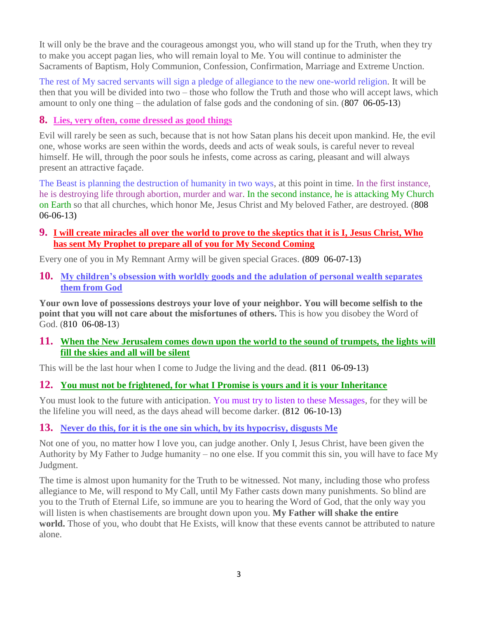It will only be the brave and the courageous amongst you, who will stand up for the Truth, when they try to make you accept pagan lies, who will remain loyal to Me. You will continue to administer the Sacraments of Baptism, Holy Communion, Confession, Confirmation, Marriage and Extreme Unction.

The rest of My sacred servants will sign a pledge of allegiance to the new one-world religion. It will be then that you will be divided into two – those who follow the Truth and those who will accept laws, which amount to only one thing – the adulation of false gods and the condoning of sin. (807 06-05-13)

### **8. [Lies, very often, come dressed as good things](http://www.thewarningsecondcoming.com/lies-very-often-come-dressed-as-good-things/)**

Evil will rarely be seen as such, because that is not how Satan plans his deceit upon mankind. He, the evil one, whose works are seen within the words, deeds and acts of weak souls, is careful never to reveal himself. He will, through the poor souls he infests, come across as caring, pleasant and will always present an attractive façade.

The Beast is planning the destruction of humanity in two ways, at this point in time. In the first instance, he is destroying life through abortion, murder and war. In the second instance, he is attacking My Church on Earth so that all churches, which honor Me, Jesus Christ and My beloved Father, are destroyed. (808 06-06-13)

### **9. [I will create miracles all over the world to prove to the skeptics that it is I,](http://www.thewarningsecondcoming.com/i-will-create-miracles-all-over-the-world-to-prove-to-the-skeptics-that-it-is-i-jesus-christ-who-has-sent-my-prophet-to-prepare-all-of-you-for-my-second-coming/) Jesus Christ, Who [has sent My Prophet to prepare all of you for My Second Coming](http://www.thewarningsecondcoming.com/i-will-create-miracles-all-over-the-world-to-prove-to-the-skeptics-that-it-is-i-jesus-christ-who-has-sent-my-prophet-to-prepare-all-of-you-for-my-second-coming/)**

Every one of you in My Remnant Army will be given special Graces. **(**809 06-07-13**)**

**10. [My children's obsession with worldly goods and the adulation of personal wealth separates](http://www.thewarningsecondcoming.com/my-childrens-obsession-with-worldly-goods-and-the-adulation-of-personal-wealth-separates-them-from-god/)  [them from God](http://www.thewarningsecondcoming.com/my-childrens-obsession-with-worldly-goods-and-the-adulation-of-personal-wealth-separates-them-from-god/)**

**Your own love of possessions destroys your love of your neighbor. You will become selfish to the point that you will not care about the misfortunes of others.** This is how you disobey the Word of God. (810 06-08-13)

**11. [When the New Jerusalem comes down upon the world to the sound of trumpets, the lights will](http://www.thewarningsecondcoming.com/when-the-new-jerusalem-comes-down-upon-the-world-to-the-sound-of-trumpets-the-lights-will-fill-the-skies-and-all-will-be-silent/)  [fill the skies and all will be silent](http://www.thewarningsecondcoming.com/when-the-new-jerusalem-comes-down-upon-the-world-to-the-sound-of-trumpets-the-lights-will-fill-the-skies-and-all-will-be-silent/)**

This will be the last hour when I come to Judge the living and the dead. **(**811 06-09-13**)**

## **12. You must not be [frightened, for what I Promise is yours and it is your Inheritance](http://www.thewarningsecondcoming.com/you-must-not-be-frightened-for-what-i-promise-is-yours-and-it-is-your-inheritance/)**

You must look to the future with anticipation. You must try to listen to these Messages, for they will be the lifeline you will need, as the days ahead will become darker. **(**812 06-10-13**)**

## **13. [Never do this, for it is the one sin which, by its hypocrisy, disgusts Me](http://www.thewarningsecondcoming.com/never-do-this-for-it-is-the-one-sin-which-by-its-hypocrisy-disgusts-me/)**

Not one of you, no matter how I love you, can judge another. Only I, Jesus Christ, have been given the Authority by My Father to Judge humanity – no one else. If you commit this sin, you will have to face My Judgment.

The time is almost upon humanity for the Truth to be witnessed. Not many, including those who profess allegiance to Me, will respond to My Call, until My Father casts down many punishments. So blind are you to the Truth of Eternal Life, so immune are you to hearing the Word of God, that the only way you will listen is when chastisements are brought down upon you. **My Father will shake the entire world.** Those of you, who doubt that He Exists, will know that these events cannot be attributed to nature alone.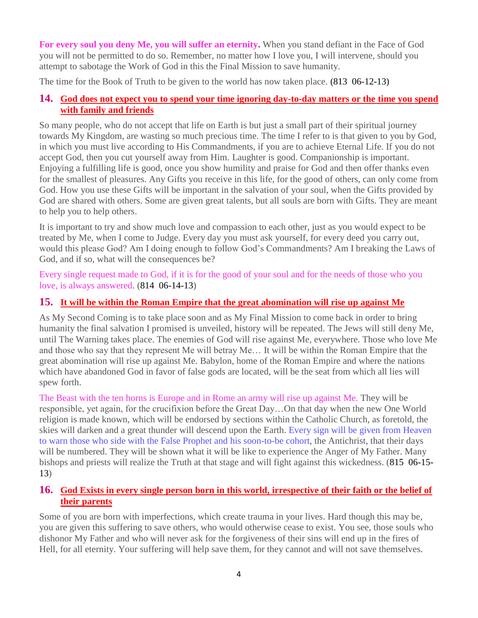**For every soul you deny Me, you will suffer an eternity.** When you stand defiant in the Face of God you will not be permitted to do so. Remember, no matter how I love you, I will intervene, should you attempt to sabotage the Work of God in this the Final Mission to save humanity.

The time for the Book of Truth to be given to the world has now taken place. **(**813 06-12-13**)**

## **14. [God does not expect you to spend your time ignoring day-to-day matters or the](http://www.thewarningsecondcoming.com/god-does-not-expect-you-to-spend-your-time-ignoring-day-to-day-matters-or-the-time-you-spend-with-family-and-friend/) time you spend [with family and friends](http://www.thewarningsecondcoming.com/god-does-not-expect-you-to-spend-your-time-ignoring-day-to-day-matters-or-the-time-you-spend-with-family-and-friend/)**

So many people, who do not accept that life on Earth is but just a small part of their spiritual journey towards My Kingdom, are wasting so much precious time. The time I refer to is that given to you by God, in which you must live according to His Commandments, if you are to achieve Eternal Life. If you do not accept God, then you cut yourself away from Him. Laughter is good. Companionship is important. Enjoying a fulfilling life is good, once you show humility and praise for God and then offer thanks even for the smallest of pleasures. Any Gifts you receive in this life, for the good of others, can only come from God. How you use these Gifts will be important in the salvation of your soul, when the Gifts provided by God are shared with others. Some are given great talents, but all souls are born with Gifts. They are meant to help you to help others.

It is important to try and show much love and compassion to each other, just as you would expect to be treated by Me, when I come to Judge. Every day you must ask yourself, for every deed you carry out, would this please God? Am I doing enough to follow God's Commandments? Am I breaking the Laws of God, and if so, what will the consequences be?

Every single request made to God, if it is for the good of your soul and for the needs of those who you love, is always answered. (814 06-14-13)

## **15. [It will be within the Roman Empire that the great abomination will rise up against Me](http://www.thewarningsecondcoming.com/it-will-be-within-the-roman-empire-that-the-great-abomination-will-rise-up-against-me/)**

As My Second Coming is to take place soon and as My Final Mission to come back in order to bring humanity the final salvation I promised is unveiled, history will be repeated. The Jews will still deny Me, until The Warning takes place. The enemies of God will rise against Me, everywhere. Those who love Me and those who say that they represent Me will betray Me… It will be within the Roman Empire that the great abomination will rise up against Me. Babylon, home of the Roman Empire and where the nations which have abandoned God in favor of false gods are located, will be the seat from which all lies will spew forth.

The Beast with the ten horns is Europe and in Rome an army will rise up against Me. They will be responsible, yet again, for the crucifixion before the Great Day…On that day when the new One World religion is made known, which will be endorsed by sections within the Catholic Church, as foretold, the skies will darken and a great thunder will descend upon the Earth. Every sign will be given from Heaven to warn those who side with the False Prophet and his soon-to-be cohort, the Antichrist, that their days will be numbered. They will be shown what it will be like to experience the Anger of My Father. Many bishops and priests will realize the Truth at that stage and will fight against this wickedness. (815 06-15- 13)

## **16. [God Exists in every single person born in this world, irrespective of their faith or the belief of](http://www.thewarningsecondcoming.com/god-exists-in-every-single-person-born-in-this-world-irrespective-of-their-faith-or-the-belief-of-their-parents/)  [their parents](http://www.thewarningsecondcoming.com/god-exists-in-every-single-person-born-in-this-world-irrespective-of-their-faith-or-the-belief-of-their-parents/)**

Some of you are born with imperfections, which create trauma in your lives. Hard though this may be, you are given this suffering to save others, who would otherwise cease to exist. You see, those souls who dishonor My Father and who will never ask for the forgiveness of their sins will end up in the fires of Hell, for all eternity. Your suffering will help save them, for they cannot and will not save themselves.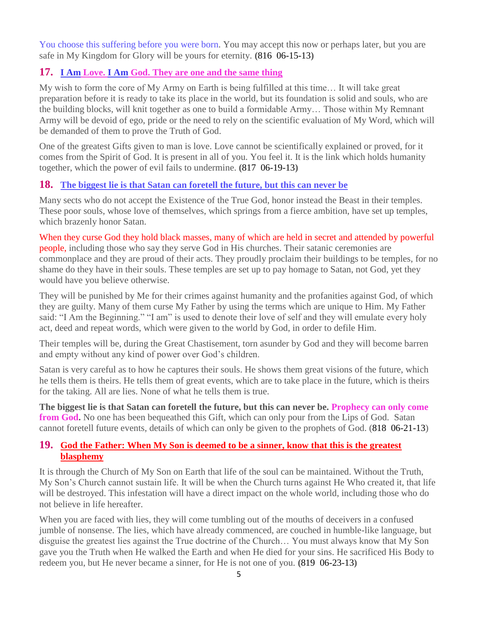You choose this suffering before you were born. You may accept this now or perhaps later, but you are safe in My Kingdom for Glory will be yours for eternity. **(**816 06-15-13**)**

## **17. I Am Love. I Am [God. They are one and the same thing](http://www.thewarningsecondcoming.com/i-am-love-i-am-god-they-are-one-and-the-same-thing/)**

My wish to form the core of My Army on Earth is being fulfilled at this time… It will take great preparation before it is ready to take its place in the world, but its foundation is solid and souls, who are the building blocks, will knit together as one to build a formidable Army… Those within My Remnant Army will be devoid of ego, pride or the need to rely on the scientific evaluation of My Word, which will be demanded of them to prove the Truth of God.

One of the greatest Gifts given to man is love. Love cannot be scientifically explained or proved, for it comes from the Spirit of God. It is present in all of you. You feel it. It is the link which holds humanity together, which the power of evil fails to undermine. **(**817 06-19-13**)**

### **18. [The biggest lie is that Satan can foretell the future, but this can never be](http://www.thewarningsecondcoming.com/the-biggest-lie-is-that-satan-can-foretell-the-future-but-this-can-never-be/)**

Many sects who do not accept the Existence of the True God, honor instead the Beast in their temples. These poor souls, whose love of themselves, which springs from a fierce ambition, have set up temples, which brazenly honor Satan.

When they curse God they hold black masses, many of which are held in secret and attended by powerful people, including those who say they serve God in His churches. Their satanic ceremonies are commonplace and they are proud of their acts. They proudly proclaim their buildings to be temples, for no shame do they have in their souls. These temples are set up to pay homage to Satan, not God, yet they would have you believe otherwise.

They will be punished by Me for their crimes against humanity and the profanities against God, of which they are guilty. Many of them curse My Father by using the terms which are unique to Him. My Father said: "I Am the Beginning." "I am" is used to denote their love of self and they will emulate every holy act, deed and repeat words, which were given to the world by God, in order to defile Him.

Their temples will be, during the Great Chastisement, torn asunder by God and they will become barren and empty without any kind of power over God's children.

Satan is very careful as to how he captures their souls. He shows them great visions of the future, which he tells them is theirs. He tells them of great events, which are to take place in the future, which is theirs for the taking. All are lies. None of what he tells them is true.

**The biggest lie is that Satan can foretell the future, but this can never be. Prophecy can only come from God.** No one has been bequeathed this Gift, which can only pour from the Lips of God. Satan cannot foretell future events, details of which can only be given to the prophets of God. (818 06-21-13)

### **19. [God the Father: When My Son is deemed to be a sinner, know that this is the greatest](http://www.thewarningsecondcoming.com/god-the-father-when-my-son-is-deemed-to-be-a-sinner-know-that-this-is-the-greatest-blasphemy/)  [blasphemy](http://www.thewarningsecondcoming.com/god-the-father-when-my-son-is-deemed-to-be-a-sinner-know-that-this-is-the-greatest-blasphemy/)**

It is through the Church of My Son on Earth that life of the soul can be maintained. Without the Truth, My Son's Church cannot sustain life. It will be when the Church turns against He Who created it, that life will be destroyed. This infestation will have a direct impact on the whole world, including those who do not believe in life hereafter.

When you are faced with lies, they will come tumbling out of the mouths of deceivers in a confused jumble of nonsense. The lies, which have already commenced, are couched in humble-like language, but disguise the greatest lies against the True doctrine of the Church… You must always know that My Son gave you the Truth when He walked the Earth and when He died for your sins. He sacrificed His Body to redeem you, but He never became a sinner, for He is not one of you. **(**819 06-23-13**)**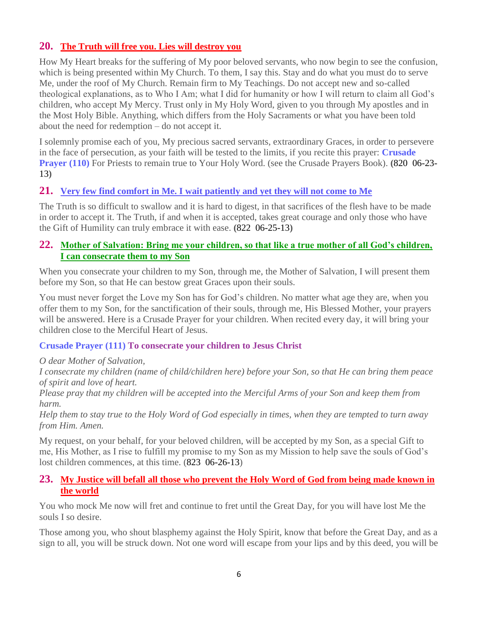## **20. [The Truth will free you. Lies will destroy you](http://www.thewarningsecondcoming.com/the-truth-will-free-you-lies-will-destroy-you/)**

How My Heart breaks for the suffering of My poor beloved servants, who now begin to see the confusion, which is being presented within My Church. To them, I say this. Stay and do what you must do to serve Me, under the roof of My Church. Remain firm to My Teachings. Do not accept new and so-called theological explanations, as to Who I Am; what I did for humanity or how I will return to claim all God's children, who accept My Mercy. Trust only in My Holy Word, given to you through My apostles and in the Most Holy Bible. Anything, which differs from the Holy Sacraments or what you have been told about the need for redemption – do not accept it.

I solemnly promise each of you, My precious sacred servants, extraordinary Graces, in order to persevere in the face of persecution, as your faith will be tested to the limits, if you recite this prayer: **Crusade Prayer (110)** For Priests to remain true to Your Holy Word. (see the Crusade Prayers Book). **(**820 06-23- 13**)**

### **21. Very few find comfort [in Me. I wait patiently and yet they will not come to Me](http://www.thewarningsecondcoming.com/very-few-find-comfort-in-me-i-wait-patiently-and-yet-they-will-not-come-to-me-2/)**

The Truth is so difficult to swallow and it is hard to digest, in that sacrifices of the flesh have to be made in order to accept it. The Truth, if and when it is accepted, takes great courage and only those who have the Gift of Humility can truly embrace it with ease. **(**822 06-25-13**)**

#### **22. [Mother of Salvation: Bring me your children, so that like a true mother of all God's children,](http://www.thewarningsecondcoming.com/mother-of-salvation-bring-me-your-children-so-that-like-a-true-mother-of-all-gods-children-i-can-consecrate-them-to-my-son/)  I [can consecrate them to my Son](http://www.thewarningsecondcoming.com/mother-of-salvation-bring-me-your-children-so-that-like-a-true-mother-of-all-gods-children-i-can-consecrate-them-to-my-son/)**

When you consecrate your children to my Son, through me, the Mother of Salvation, I will present them before my Son, so that He can bestow great Graces upon their souls.

You must never forget the Love my Son has for God's children. No matter what age they are, when you offer them to my Son, for the sanctification of their souls, through me, His Blessed Mother, your prayers will be answered. Here is a Crusade Prayer for your children. When recited every day, it will bring your children close to the Merciful Heart of Jesus.

#### **Crusade Prayer (111) To consecrate your children to Jesus Christ**

*O dear Mother of Salvation,*

*I consecrate my children (name of child/children here) before your Son, so that He can bring them peace of spirit and love of heart.*

*Please pray that my children will be accepted into the Merciful Arms of your Son and keep them from harm.*

*Help them to stay true to the Holy Word of God especially in times, when they are tempted to turn away from Him. Amen.*

My request, on your behalf, for your beloved children, will be accepted by my Son, as a special Gift to me, His Mother, as I rise to fulfill my promise to my Son as my Mission to help save the souls of God's lost children commences, at this time. (823 06-26-13)

#### **23. [My Justice will befall all those who prevent the Holy Word of God from being made known in](http://www.thewarningsecondcoming.com/my-justice-will-befall-all-those-who-prevent-the-holy-word-of-god-from-being-made-known-in-the-world/)  [the world](http://www.thewarningsecondcoming.com/my-justice-will-befall-all-those-who-prevent-the-holy-word-of-god-from-being-made-known-in-the-world/)**

You who mock Me now will fret and continue to fret until the Great Day, for you will have lost Me the souls I so desire.

Those among you, who shout blasphemy against the Holy Spirit, know that before the Great Day, and as a sign to all, you will be struck down. Not one word will escape from your lips and by this deed, you will be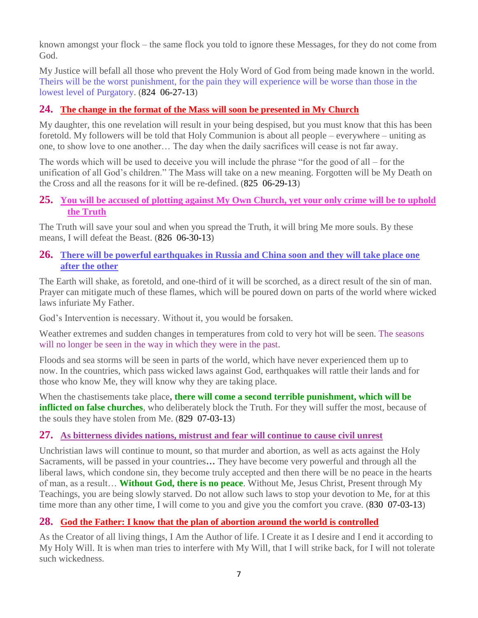known amongst your flock – the same flock you told to ignore these Messages, for they do not come from God.

My Justice will befall all those who prevent the Holy Word of God from being made known in the world. Theirs will be the worst punishment, for the pain they will experience will be worse than those in the lowest level of Purgatory. (824 06-27-13)

## **24. [The change in the format of the Mass will soon be presented in My Church](http://www.thewarningsecondcoming.com/the-change-in-the-format-of-the-mass-will-soon-be-presented-in-my-church/)**

My daughter, this one revelation will result in your being despised, but you must know that this has been foretold. My followers will be told that Holy Communion is about all people – everywhere – uniting as one, to show love to one another… The day when the daily sacrifices will cease is not far away.

The words which will be used to deceive you will include the phrase "for the good of all – for the unification of all God's children." The Mass will take on a new meaning. Forgotten will be My Death on the Cross and all the reasons for it will be re-defined. (825 06-29-13)

#### **25. [You will be accused of plotting against My Own Church, yet your only crime will be to uphold](http://www.thewarningsecondcoming.com/you-will-be-accused-of-plotting-against-my-own-church-yet-your-only-crime-will-be-to-uphold-the-truth/)  [the Truth](http://www.thewarningsecondcoming.com/you-will-be-accused-of-plotting-against-my-own-church-yet-your-only-crime-will-be-to-uphold-the-truth/)**

The Truth will save your soul and when you spread the Truth, it will bring Me more souls. By these means, I will defeat the Beast. (826 06-30-13)

### **26. [There will be powerful earthquakes in Russia and China soon and they will take place one](http://www.thewarningsecondcoming.com/there-will-be-powerful-earthquakes-in-russia-and-china-soon-and-they-will-take-place-one-after-the-other/)  [after the other](http://www.thewarningsecondcoming.com/there-will-be-powerful-earthquakes-in-russia-and-china-soon-and-they-will-take-place-one-after-the-other/)**

The Earth will shake, as foretold, and one-third of it will be scorched, as a direct result of the sin of man. Prayer can mitigate much of these flames, which will be poured down on parts of the world where wicked laws infuriate My Father.

God's Intervention is necessary. Without it, you would be forsaken.

Weather extremes and sudden changes in temperatures from cold to very hot will be seen. The seasons will no longer be seen in the way in which they were in the past.

Floods and sea storms will be seen in parts of the world, which have never experienced them up to now. In the countries, which pass wicked laws against God, earthquakes will rattle their lands and for those who know Me, they will know why they are taking place.

When the chastisements take place**, there will come a second terrible punishment, which will be inflicted on false churches**, who deliberately block the Truth. For they will suffer the most, because of the souls they have stolen from Me. (829 07-03-13)

## **27. [As bitterness divides nations, mistrust and fear will continue to cause civil unrest](http://www.thewarningsecondcoming.com/as-bitterness-divides-nations-mistrust-and-fear-will-continue-to-cause-civil-unrest/)**

Unchristian laws will continue to mount, so that murder and abortion, as well as acts against the Holy Sacraments, will be passed in your countries**…** They have become very powerful and through all the liberal laws, which condone sin, they become truly accepted and then there will be no peace in the hearts of man, as a result… **Without God, there is no peace**. Without Me, Jesus Christ, Present through My Teachings, you are being slowly starved. Do not allow such laws to stop your devotion to Me, for at this time more than any other time, I will come to you and give you the comfort you crave. (830 07-03-13)

## **28. [God the Father: I know that the plan of abortion around the world is controlled](http://www.thewarningsecondcoming.com/god-the-father-i-know-that-the-plan-of-abortion-around-the-world-is-controlled/)**

As the Creator of all living things, I Am the Author of life. I Create it as I desire and I end it according to My Holy Will. It is when man tries to interfere with My Will, that I will strike back, for I will not tolerate such wickedness.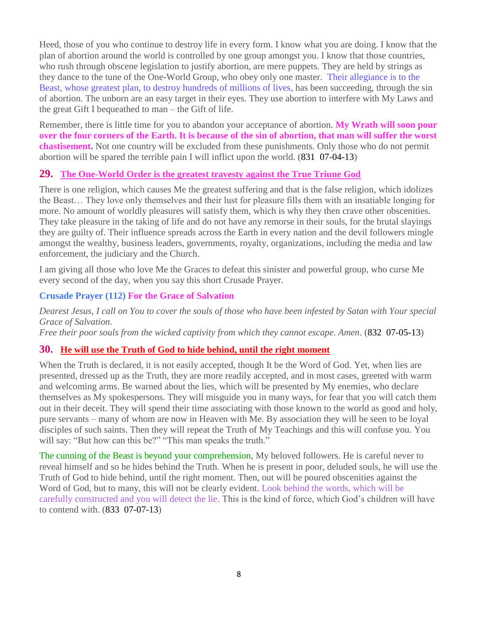Heed, those of you who continue to destroy life in every form. I know what you are doing. I know that the plan of abortion around the world is controlled by one group amongst you. I know that those countries, who rush through obscene legislation to justify abortion, are mere puppets. They are held by strings as they dance to the tune of the One-World Group, who obey only one master. Their allegiance is to the Beast, whose greatest plan, to destroy hundreds of millions of lives, has been succeeding, through the sin of abortion. The unborn are an easy target in their eyes. They use abortion to interfere with My Laws and the great Gift I bequeathed to man – the Gift of life.

Remember, there is little time for you to abandon your acceptance of abortion. **My Wrath will soon pour over the four corners of the Earth. It is because of the sin of abortion, that man will suffer the worst chastisement.** Not one country will be excluded from these punishments. Only those who do not permit abortion will be spared the terrible pain I will inflict upon the world. (831 07-04-13)

### **29. [The One-World Order is the greatest travesty against the True Triune God](http://www.thewarningsecondcoming.com/the-one-world-order-is-the-greatest-travesty-against-the-true-triune-god/)**

There is one religion, which causes Me the greatest suffering and that is the false religion, which idolizes the Beast… They love only themselves and their lust for pleasure fills them with an insatiable longing for more. No amount of worldly pleasures will satisfy them, which is why they then crave other obscenities. They take pleasure in the taking of life and do not have any remorse in their souls, for the brutal slayings they are guilty of. Their influence spreads across the Earth in every nation and the devil followers mingle amongst the wealthy, business leaders, governments, royalty, organizations, including the media and law enforcement, the judiciary and the Church.

I am giving all those who love Me the Graces to defeat this sinister and powerful group, who curse Me every second of the day, when you say this short Crusade Prayer.

### **Crusade Prayer (112) For the Grace of Salvation**

*Dearest Jesus, I call on You to cover the souls of those who have been infested by Satan with Your special Grace of Salvation.*

*Free their poor souls from the wicked captivity from which they cannot escape. Amen*. (832 07-05-13)

# **30. [He will use the Truth of God to hide behind, until the right moment](http://www.thewarningsecondcoming.com/he-will-use-the-truth-of-god-to-hide-behind-until-the-right-moment/)**

When the Truth is declared, it is not easily accepted, though It be the Word of God. Yet, when lies are presented, dressed up as the Truth, they are more readily accepted, and in most cases, greeted with warm and welcoming arms. Be warned about the lies, which will be presented by My enemies, who declare themselves as My spokespersons. They will misguide you in many ways, for fear that you will catch them out in their deceit. They will spend their time associating with those known to the world as good and holy, pure servants – many of whom are now in Heaven with Me. By association they will be seen to be loyal disciples of such saints. Then they will repeat the Truth of My Teachings and this will confuse you. You will say: "But how can this be?" "This man speaks the truth."

The cunning of the Beast is beyond your comprehension, My beloved followers. He is careful never to reveal himself and so he hides behind the Truth. When he is present in poor, deluded souls, he will use the Truth of God to hide behind, until the right moment. Then, out will be poured obscenities against the Word of God, but to many, this will not be clearly evident. Look behind the words, which will be carefully constructed and you will detect the lie. This is the kind of force, which God's children will have to contend with. (833 07-07-13)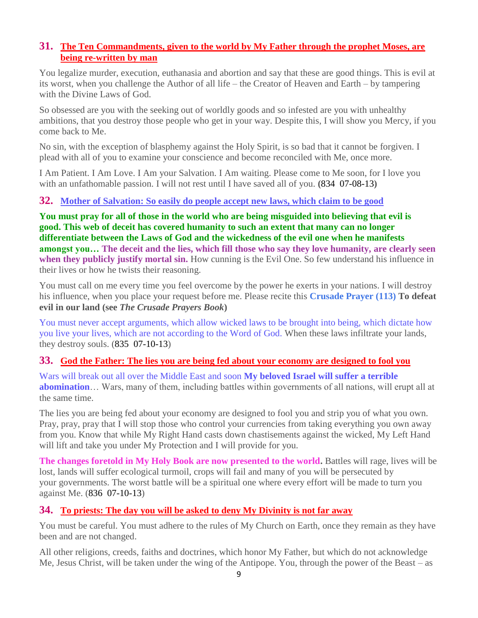## **31. [The Ten Commandments, given to the world by My Father through the prophet Moses, are](http://www.thewarningsecondcoming.com/the-ten-commandments-given-to-the-world-by-my-father-through-the-prophet-moses-are-being-re-written-by-man/)  [being re-written by man](http://www.thewarningsecondcoming.com/the-ten-commandments-given-to-the-world-by-my-father-through-the-prophet-moses-are-being-re-written-by-man/)**

You legalize murder, execution, euthanasia and abortion and say that these are good things. This is evil at its worst, when you challenge the Author of all life – the Creator of Heaven and Earth – by tampering with the Divine Laws of God.

So obsessed are you with the seeking out of worldly goods and so infested are you with unhealthy ambitions, that you destroy those people who get in your way. Despite this, I will show you Mercy, if you come back to Me.

No sin, with the exception of blasphemy against the Holy Spirit, is so bad that it cannot be forgiven. I plead with all of you to examine your conscience and become reconciled with Me, once more.

I Am Patient. I Am Love. I Am your Salvation. I Am waiting. Please come to Me soon, for I love you with an unfathomable passion. I will not rest until I have saved all of you. **(**834 07-08-13**)**

### **32. Mother of Salvation: [So easily do people accept new laws, which claim to be good](http://www.thewarningsecondcoming.com/mother-of-salvation-so-easily-do-people-accept-new-laws-which-claim-to-be-good/)**

**You must pray for all of those in the world who are being misguided into believing that evil is good. This web of deceit has covered humanity to such an extent that many can no longer differentiate between the Laws of God and the wickedness of the evil one when he manifests amongst you… The deceit and the lies, which fill those who say they love humanity, are clearly seen when they publicly justify mortal sin.** How cunning is the Evil One. So few understand his influence in their lives or how he twists their reasoning.

You must call on me every time you feel overcome by the power he exerts in your nations. I will destroy his influence, when you place your request before me. Please recite this **Crusade Prayer (113) To defeat evil in our land (see** *The Crusade Prayers Book***)**

You must never accept arguments, which allow wicked laws to be brought into being, which dictate how you live your lives, which are not according to the Word of God. When these laws infiltrate your lands, they destroy souls. (835 07-10-13)

## **33. [God the Father: The lies you are being fed about your economy are designed to fool you](http://www.thewarningsecondcoming.com/god-the-father-the-lies-you-are-being-fed-about-your-economy-are-designed-to-fool-you/)**

Wars will break out all over the Middle East and soon **My beloved Israel will suffer a terrible abomination**… Wars, many of them, including battles within governments of all nations, will erupt all at the same time.

The lies you are being fed about your economy are designed to fool you and strip you of what you own. Pray, pray, pray that I will stop those who control your currencies from taking everything you own away from you. Know that while My Right Hand casts down chastisements against the wicked, My Left Hand will lift and take you under My Protection and I will provide for you.

**The changes foretold in My Holy Book are now presented to the world.** Battles will rage, lives will be lost, lands will suffer ecological turmoil, crops will fail and many of you will be persecuted by your governments. The worst battle will be a spiritual one where every effort will be made to turn you against Me. (836 07-10-13)

## **34. [To priests: The day you will be asked to deny My Divinity is not far away](http://www.thewarningsecondcoming.com/to-priests-the-day-you-will-be-asked-to-deny-my-divinity-is-not-far-away/)**

You must be careful. You must adhere to the rules of My Church on Earth, once they remain as they have been and are not changed.

All other religions, creeds, faiths and doctrines, which honor My Father, but which do not acknowledge Me, Jesus Christ, will be taken under the wing of the Antipope. You, through the power of the Beast – as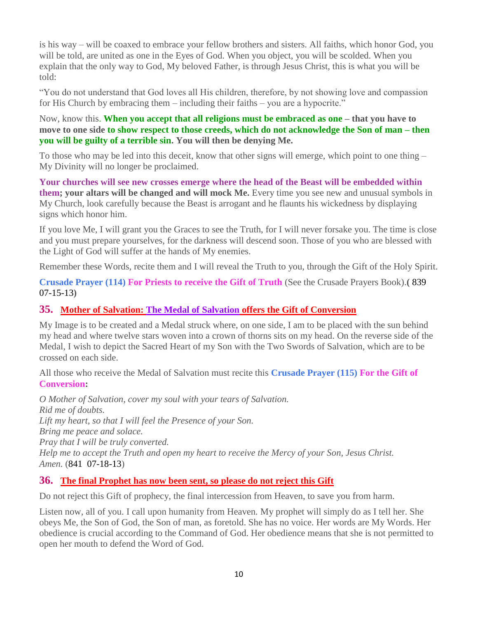is his way – will be coaxed to embrace your fellow brothers and sisters. All faiths, which honor God, you will be told, are united as one in the Eyes of God. When you object, you will be scolded. When you explain that the only way to God, My beloved Father, is through Jesus Christ, this is what you will be told:

"You do not understand that God loves all His children, therefore, by not showing love and compassion for His Church by embracing them – including their faiths – you are a hypocrite."

Now, know this. **When you accept that all religions must be embraced as one – that you have to move to one side to show respect to those creeds, which do not acknowledge the Son of man – then you will be guilty of a terrible sin. You will then be denying Me.**

To those who may be led into this deceit, know that other signs will emerge, which point to one thing – My Divinity will no longer be proclaimed.

**Your churches will see new crosses emerge where the head of the Beast will be embedded within them; your altars will be changed and will mock Me.** Every time you see new and unusual symbols in My Church, look carefully because the Beast is arrogant and he flaunts his wickedness by displaying signs which honor him.

If you love Me, I will grant you the Graces to see the Truth, for I will never forsake you. The time is close and you must prepare yourselves, for the darkness will descend soon. Those of you who are blessed with the Light of God will suffer at the hands of My enemies.

Remember these Words, recite them and I will reveal the Truth to you, through the Gift of the Holy Spirit.

**Crusade Prayer (114) For Priests to receive the Gift of Truth** (See the Crusade Prayers Book).**(** 839 07-15-13**)**

## **35. [Mother of Salvation: The Medal of Salvation](http://www.thewarningsecondcoming.com/mother-of-salvation-the-medal-of-salvation-offers-the-gift-of-conversion/) offers the Gift of Conversion**

My Image is to be created and a Medal struck where, on one side, I am to be placed with the sun behind my head and where twelve stars woven into a crown of thorns sits on my head. On the reverse side of the Medal, I wish to depict the Sacred Heart of my Son with the Two Swords of Salvation, which are to be crossed on each side.

All those who receive the Medal of Salvation must recite this **Crusade Prayer (115) For the Gift of Conversion:**

*O Mother of Salvation, cover my soul with your tears of Salvation. Rid me of doubts. Lift my heart, so that I will feel the Presence of your Son. Bring me peace and solace. Pray that I will be truly converted. Help me to accept the Truth and open my heart to receive the Mercy of your Son, Jesus Christ. Amen.* (841 07-18-13)

#### **36. [The final Prophet has now been sent, so please do not reject this Gift](http://www.thewarningsecondcoming.com/the-final-prophet-has-now-been-sent-so-please-do-not-reject-this-gift/)**

Do not reject this Gift of prophecy, the final intercession from Heaven, to save you from harm.

Listen now, all of you. I call upon humanity from Heaven. My prophet will simply do as I tell her. She obeys Me, the Son of God, the Son of man, as foretold. She has no voice. Her words are My Words. Her obedience is crucial according to the Command of God. Her obedience means that she is not permitted to open her mouth to defend the Word of God.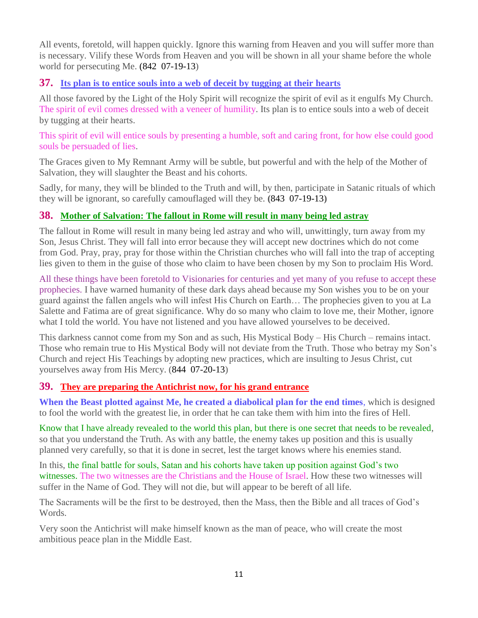All events, foretold, will happen quickly. Ignore this warning from Heaven and you will suffer more than is necessary. Vilify these Words from Heaven and you will be shown in all your shame before the whole world for persecuting Me. (842 07-19-13)

## **37. [Its plan is to entice souls into a web of deceit by tugging at their](http://www.thewarningsecondcoming.com/its-plan-is-to-entice-souls-into-a-web-of-deceit-by-tugging-at-their-hearts/) hearts**

All those favored by the Light of the Holy Spirit will recognize the spirit of evil as it engulfs My Church. The spirit of evil comes dressed with a veneer of humility. Its plan is to entice souls into a web of deceit by tugging at their hearts.

This spirit of evil will entice souls by presenting a humble, soft and caring front, for how else could good souls be persuaded of lies.

The Graces given to My Remnant Army will be subtle, but powerful and with the help of the Mother of Salvation, they will slaughter the Beast and his cohorts.

Sadly, for many, they will be blinded to the Truth and will, by then, participate in Satanic rituals of which they will be ignorant, so carefully camouflaged will they be. **(**843 07-19-13**)**

## **38. [Mother of Salvation: The fallout in Rome will result in many being led astray](http://www.thewarningsecondcoming.com/mother-of-salvation-the-fallout-in-rome-will-result-in-many-being-led-astray/)**

The fallout in Rome will result in many being led astray and who will, unwittingly, turn away from my Son, Jesus Christ. They will fall into error because they will accept new doctrines which do not come from God. Pray, pray, pray for those within the Christian churches who will fall into the trap of accepting lies given to them in the guise of those who claim to have been chosen by my Son to proclaim His Word.

All these things have been foretold to Visionaries for centuries and yet many of you refuse to accept these prophecies. I have warned humanity of these dark days ahead because my Son wishes you to be on your guard against the fallen angels who will infest His Church on Earth… The prophecies given to you at La Salette and Fatima are of great significance. Why do so many who claim to love me, their Mother, ignore what I told the world. You have not listened and you have allowed yourselves to be deceived.

This darkness cannot come from my Son and as such, His Mystical Body – His Church – remains intact. Those who remain true to His Mystical Body will not deviate from the Truth. Those who betray my Son's Church and reject His Teachings by adopting new practices, which are insulting to Jesus Christ, cut yourselves away from His Mercy. (844 07-20-13)

# **39. [They are preparing the Antichrist now, for his grand entrance](http://www.thewarningsecondcoming.com/they-are-preparing-the-antichrist-now-for-his-grand-entrance/)**

**When the Beast plotted against Me, he created a diabolical plan for the end times**, which is designed to fool the world with the greatest lie, in order that he can take them with him into the fires of Hell.

Know that I have already revealed to the world this plan, but there is one secret that needs to be revealed, so that you understand the Truth. As with any battle, the enemy takes up position and this is usually planned very carefully, so that it is done in secret, lest the target knows where his enemies stand.

In this, the final battle for souls, Satan and his cohorts have taken up position against God's two witnesses. The two witnesses are the Christians and the House of Israel. How these two witnesses will suffer in the Name of God. They will not die, but will appear to be bereft of all life.

The Sacraments will be the first to be destroyed, then the Mass, then the Bible and all traces of God's Words.

Very soon the Antichrist will make himself known as the man of peace, who will create the most ambitious peace plan in the Middle East.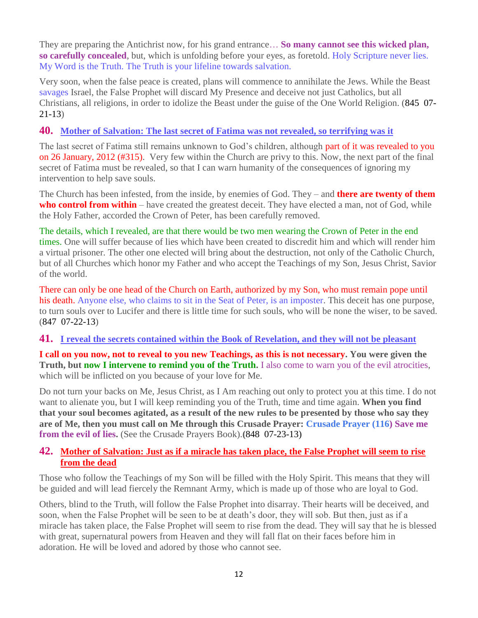They are preparing the Antichrist now, for his grand entrance… **So many cannot see this wicked plan, so carefully concealed**, but, which is unfolding before your eyes, as foretold. Holy Scripture never lies. My Word is the Truth. The Truth is your lifeline towards salvation.

Very soon, when the false peace is created, plans will commence to annihilate the Jews. While the Beast savages Israel, the False Prophet will discard My Presence and deceive not just Catholics, but all Christians, all religions, in order to idolize the Beast under the guise of the One World Religion. (845 07- 21-13)

## **40. [Mother of Salvation: The last secret of Fatima was not revealed, so terrifying was it](http://www.thewarningsecondcoming.com/mother-of-salvation-the-last-secret-of-fatima-was-not-revealed-so-terrifying-was-it/)**

The last secret of Fatima still remains unknown to God's children, although part of it was revealed to you on 26 January, 2012 (#315). Very few within the Church are privy to this. Now, the next part of the final secret of Fatima must be revealed, so that I can warn humanity of the consequences of ignoring my intervention to help save souls.

The Church has been infested, from the inside, by enemies of God. They – and **there are twenty of them who control from within** – have created the greatest deceit. They have elected a man, not of God, while the Holy Father, accorded the Crown of Peter, has been carefully removed.

The details, which I revealed, are that there would be two men wearing the Crown of Peter in the end times. One will suffer because of lies which have been created to discredit him and which will render him a virtual prisoner. The other one elected will bring about the destruction, not only of the Catholic Church, but of all Churches which honor my Father and who accept the Teachings of my Son, Jesus Christ, Savior of the world.

There can only be one head of the Church on Earth, authorized by my Son, who must remain pope until his death. Anyone else, who claims to sit in the Seat of Peter, is an imposter. This deceit has one purpose, to turn souls over to Lucifer and there is little time for such souls, who will be none the wiser, to be saved. (847 07-22-13)

#### **41. [I reveal the secrets contained within the Book of Revelation, and they will not be pleasant](http://www.thewarningsecondcoming.com/i-reveal-the-secrets-contained-within-the-book-of-revelation-and-they-will-not-be-pleasant/)**

**I call on you now, not to reveal to you new Teachings, as this is not necessary. You were given the Truth, but now I intervene to remind you of the Truth.** I also come to warn you of the evil atrocities, which will be inflicted on you because of your love for Me.

Do not turn your backs on Me, Jesus Christ, as I Am reaching out only to protect you at this time. I do not want to alienate you, but I will keep reminding you of the Truth, time and time again. **When you find that your soul becomes agitated, as a result of the new rules to be presented by those who say they are of Me, then you must call on Me through this Crusade Prayer: Crusade Prayer (116) Save me from the evil of lies.** (See the Crusade Prayers Book).**(**848 07-23-13)

### **42. [Mother of Salvation: Just as if a miracle has taken place, the False Prophet will seem to rise](http://www.thewarningsecondcoming.com/just-as-if-a-miracle-has-taken-place-the-false-prophet-will-seem-to-rise-from-the-dead/)  [from the dead](http://www.thewarningsecondcoming.com/just-as-if-a-miracle-has-taken-place-the-false-prophet-will-seem-to-rise-from-the-dead/)**

Those who follow the Teachings of my Son will be filled with the Holy Spirit. This means that they will be guided and will lead fiercely the Remnant Army, which is made up of those who are loyal to God.

Others, blind to the Truth, will follow the False Prophet into disarray. Their hearts will be deceived, and soon, when the False Prophet will be seen to be at death's door, they will sob. But then, just as if a miracle has taken place, the False Prophet will seem to rise from the dead. They will say that he is blessed with great, supernatural powers from Heaven and they will fall flat on their faces before him in adoration. He will be loved and adored by those who cannot see.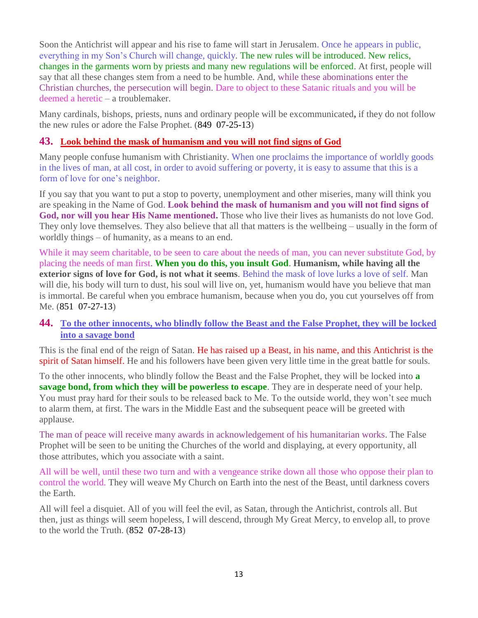Soon the Antichrist will appear and his rise to fame will start in Jerusalem. Once he appears in public, everything in my Son's Church will change, quickly. The new rules will be introduced. New relics, changes in the garments worn by priests and many new regulations will be enforced. At first, people will say that all these changes stem from a need to be humble. And, while these abominations enter the Christian churches, the persecution will begin. Dare to object to these Satanic rituals and you will be deemed a heretic – a troublemaker.

Many cardinals, bishops, priests, nuns and ordinary people will be excommunicated**,** if they do not follow the new rules or adore the False Prophet. (849 07-25-13)

#### **43. [Look behind the mask of humanism and you will not find signs of God](http://www.thewarningsecondcoming.com/look-behind-the-mask-of-humanism-and-you-will-not-find-signs-of-god/)**

Many people confuse humanism with Christianity. When one proclaims the importance of worldly goods in the lives of man, at all cost, in order to avoid suffering or poverty, it is easy to assume that this is a form of love for one's neighbor.

If you say that you want to put a stop to poverty, unemployment and other miseries, many will think you are speaking in the Name of God. **Look behind the mask of humanism and you will not find signs of God, nor will you hear His Name mentioned.** Those who live their lives as humanists do not love God. They only love themselves. They also believe that all that matters is the wellbeing – usually in the form of worldly things – of humanity, as a means to an end.

While it may seem charitable, to be seen to care about the needs of man, you can never substitute God, by placing the needs of man first. **When you do this, you insult God**. **Humanism, while having all the exterior signs of love for God, is not what it seems**. Behind the mask of love lurks a love of self. Man will die, his body will turn to dust, his soul will live on, yet, humanism would have you believe that man is immortal. Be careful when you embrace humanism, because when you do, you cut yourselves off from Me. (851 07-27-13)

### **44. [To the other innocents, who blindly follow the Beast and the False Prophet, they will be locked](http://www.thewarningsecondcoming.com/to-the-other-innocents-who-blindly-follow-the-beast-and-the-false-prophet-they-will-be-locked-into-a-savage-bond/)  [into a savage bond](http://www.thewarningsecondcoming.com/to-the-other-innocents-who-blindly-follow-the-beast-and-the-false-prophet-they-will-be-locked-into-a-savage-bond/)**

This is the final end of the reign of Satan. He has raised up a Beast, in his name, and this Antichrist is the spirit of Satan himself. He and his followers have been given very little time in the great battle for souls.

To the other innocents, who blindly follow the Beast and the False Prophet, they will be locked into **a savage bond, from which they will be powerless to escape**. They are in desperate need of your help. You must pray hard for their souls to be released back to Me. To the outside world, they won't see much to alarm them, at first. The wars in the Middle East and the subsequent peace will be greeted with applause.

The man of peace will receive many awards in acknowledgement of his humanitarian works. The False Prophet will be seen to be uniting the Churches of the world and displaying, at every opportunity, all those attributes, which you associate with a saint.

All will be well, until these two turn and with a vengeance strike down all those who oppose their plan to control the world. They will weave My Church on Earth into the nest of the Beast, until darkness covers the Earth.

All will feel a disquiet. All of you will feel the evil, as Satan, through the Antichrist, controls all. But then, just as things will seem hopeless, I will descend, through My Great Mercy, to envelop all, to prove to the world the Truth. (852 07-28-13)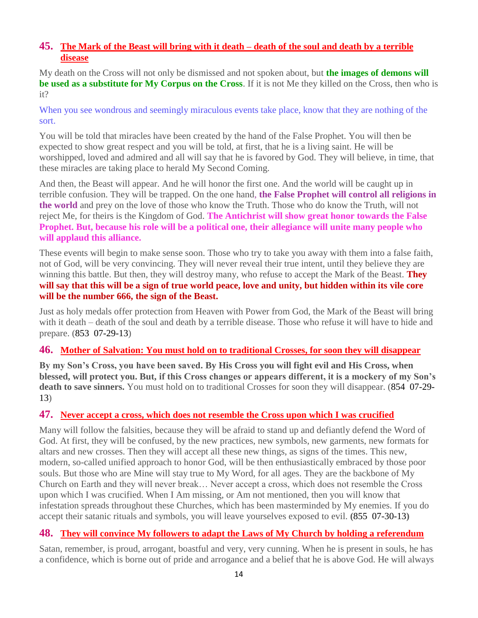## **45. [The Mark of the Beast will bring with it death –](http://www.thewarningsecondcoming.com/the-mark-of-the-beast-will-bring-with-it-death-death-of-the-soul-and-death-by-a-terrible-disease/) death of the soul and death by a terrible [disease](http://www.thewarningsecondcoming.com/the-mark-of-the-beast-will-bring-with-it-death-death-of-the-soul-and-death-by-a-terrible-disease/)**

My death on the Cross will not only be dismissed and not spoken about, but **the images of demons will be used as a substitute for My Corpus on the Cross**. If it is not Me they killed on the Cross, then who is it?

When you see wondrous and seemingly miraculous events take place, know that they are nothing of the sort.

You will be told that miracles have been created by the hand of the False Prophet. You will then be expected to show great respect and you will be told, at first, that he is a living saint. He will be worshipped, loved and admired and all will say that he is favored by God. They will believe, in time, that these miracles are taking place to herald My Second Coming.

And then, the Beast will appear. And he will honor the first one. And the world will be caught up in terrible confusion. They will be trapped. On the one hand, **the False Prophet will control all religions in the world** and prey on the love of those who know the Truth. Those who do know the Truth, will not reject Me, for theirs is the Kingdom of God. **The Antichrist will show great honor towards the False Prophet. But, because his role will be a political one, their allegiance will unite many people who will applaud this alliance.**

These events will begin to make sense soon. Those who try to take you away with them into a false faith, not of God, will be very convincing. They will never reveal their true intent, until they believe they are winning this battle. But then, they will destroy many, who refuse to accept the Mark of the Beast. **They will say that this will be a sign of true world peace, love and unity, but hidden within its vile core will be the number 666, the sign of the Beast.**

Just as holy medals offer protection from Heaven with Power from God, the Mark of the Beast will bring with it death – death of the soul and death by a terrible disease. Those who refuse it will have to hide and prepare. (853 07-29-13)

#### **46. [Mother of Salvation: You must hold on to traditional Crosses, for soon they will disappear](http://www.thewarningsecondcoming.com/mother-of-salvation-you-must-hold-on-to-traditional-crosses-for-soon-they-will-disappear/)**

**By my Son's Cross, you have been saved. By His Cross you will fight evil and His Cross, when blessed, will protect you. But, if this Cross changes or appears different, it is a mockery of my Son's death to save sinners.** You must hold on to traditional Crosses for soon they will disappear. (854 07-29- 13)

## **47. [Never accept a cross, which does not resemble the Cross upon which I was crucified](http://www.thewarningsecondcoming.com/never-accept-a-cross-which-does-not-resemble-the-cross-upon-which-i-was-crucified/)**

Many will follow the falsities, because they will be afraid to stand up and defiantly defend the Word of God. At first, they will be confused, by the new practices, new symbols, new garments, new formats for altars and new crosses. Then they will accept all these new things, as signs of the times. This new, modern, so-called unified approach to honor God, will be then enthusiastically embraced by those poor souls. But those who are Mine will stay true to My Word, for all ages. They are the backbone of My Church on Earth and they will never break… Never accept a cross, which does not resemble the Cross upon which I was crucified. When I Am missing, or Am not mentioned, then you will know that infestation spreads throughout these Churches, which has been masterminded by My enemies. If you do accept their satanic rituals and symbols, you will leave yourselves exposed to evil. **(**855 07-30-13**)**

## **48. [They will convince My followers to adapt the Laws of My Church by holding a referendum](http://www.thewarningsecondcoming.com/they-will-convince-my-followers-to-adapt-the-laws-of-my-church-by-holding-a-referendum/)**

Satan, remember, is proud, arrogant, boastful and very, very cunning. When he is present in souls, he has a confidence, which is borne out of pride and arrogance and a belief that he is above God. He will always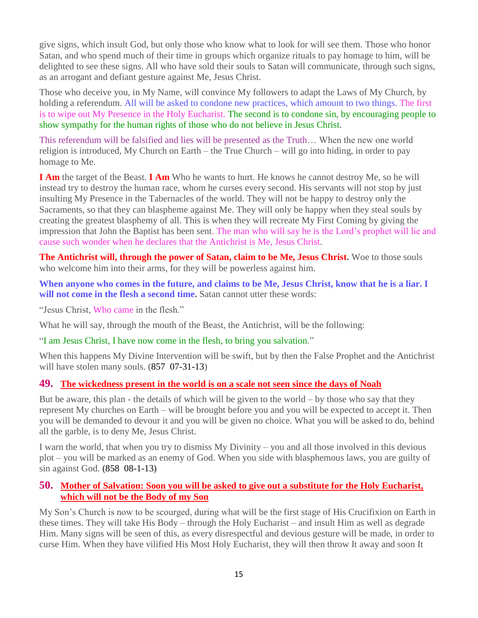give signs, which insult God, but only those who know what to look for will see them. Those who honor Satan, and who spend much of their time in groups which organize rituals to pay homage to him, will be delighted to see these signs. All who have sold their souls to Satan will communicate, through such signs, as an arrogant and defiant gesture against Me, Jesus Christ.

Those who deceive you, in My Name, will convince My followers to adapt the Laws of My Church, by holding a referendum. All will be asked to condone new practices, which amount to two things. The first is to wipe out My Presence in the Holy Eucharist. The second is to condone sin, by encouraging people to show sympathy for the human rights of those who do not believe in Jesus Christ.

This referendum will be falsified and lies will be presented as the Truth… When the new one world religion is introduced, My Church on Earth – the True Church – will go into hiding, in order to pay homage to Me.

**I Am** the target of the Beast. **I Am** Who he wants to hurt. He knows he cannot destroy Me, so he will instead try to destroy the human race, whom he curses every second. His servants will not stop by just insulting My Presence in the Tabernacles of the world. They will not be happy to destroy only the Sacraments, so that they can blaspheme against Me. They will only be happy when they steal souls by creating the greatest blasphemy of all. This is when they will recreate My First Coming by giving the impression that John the Baptist has been sent. The man who will say he is the Lord's prophet will lie and cause such wonder when he declares that the Antichrist is Me, Jesus Christ.

**The Antichrist will, through the power of Satan, claim to be Me, Jesus Christ.** Woe to those souls who welcome him into their arms, for they will be powerless against him.

**When anyone who comes in the future, and claims to be Me, Jesus Christ, know that he is a liar. I will not come in the flesh a second time.** Satan cannot utter these words:

"Jesus Christ, Who came in the flesh."

What he will say, through the mouth of the Beast, the Antichrist, will be the following:

"I am Jesus Christ, I have now come in the flesh, to bring you salvation."

When this happens My Divine Intervention will be swift, but by then the False Prophet and the Antichrist will have stolen many souls.  $(857 \t 07-31-13)$ 

#### **49. [The wickedness present in the world is on a scale not seen since the days of Noah](http://www.thewarningsecondcoming.com/the-wickedness-present-in-the-world-is-on-a-scale-not-seen-since-the-days-of-noah/)**

But be aware, this plan - the details of which will be given to the world  $-$  by those who say that they represent My churches on Earth – will be brought before you and you will be expected to accept it. Then you will be demanded to devour it and you will be given no choice. What you will be asked to do, behind all the garble, is to deny Me, Jesus Christ.

I warn the world, that when you try to dismiss My Divinity – you and all those involved in this devious plot – you will be marked as an enemy of God. When you side with blasphemous laws, you are guilty of sin against God. **(**858 08-1-13**)**

#### **50. [Mother of Salvation: Soon you will be asked to give out a substitute for the Holy Eucharist,](http://www.thewarningsecondcoming.com/mother-of-salvation-soon-you-will-be-asked-to-give-out-a-substitute-for-the-holy-eucharist-which-will-not-be-the-body-of-my-son/)  [which will not be the Body of my Son](http://www.thewarningsecondcoming.com/mother-of-salvation-soon-you-will-be-asked-to-give-out-a-substitute-for-the-holy-eucharist-which-will-not-be-the-body-of-my-son/)**

My Son's Church is now to be scourged, during what will be the first stage of His Crucifixion on Earth in these times. They will take His Body – through the Holy Eucharist – and insult Him as well as degrade Him. Many signs will be seen of this, as every disrespectful and devious gesture will be made, in order to curse Him. When they have vilified His Most Holy Eucharist, they will then throw It away and soon It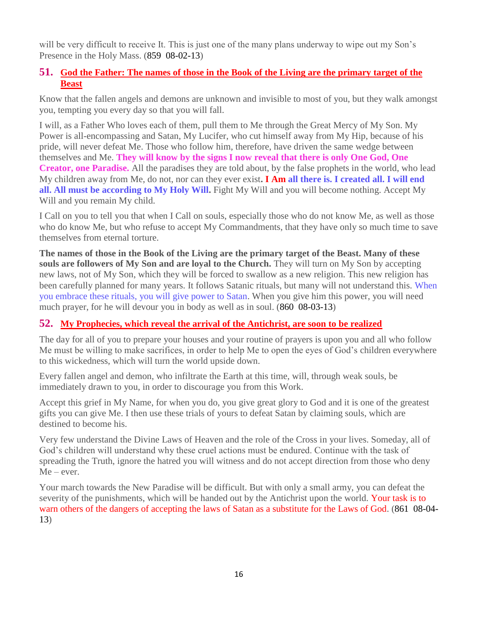will be very difficult to receive It. This is just one of the many plans underway to wipe out my Son's Presence in the Holy Mass. (859 08-02-13)

## **51. [God the Father: The names of those in the Book of the Living are the primary target of the](http://www.thewarningsecondcoming.com/god-the-father-the-names-of-those-in-the-book-of-the-living-are-the-primary-target-of-the-beast/)  [Beast](http://www.thewarningsecondcoming.com/god-the-father-the-names-of-those-in-the-book-of-the-living-are-the-primary-target-of-the-beast/)**

Know that the fallen angels and demons are unknown and invisible to most of you, but they walk amongst you, tempting you every day so that you will fall.

I will, as a Father Who loves each of them, pull them to Me through the Great Mercy of My Son. My Power is all-encompassing and Satan, My Lucifer, who cut himself away from My Hip, because of his pride, will never defeat Me. Those who follow him, therefore, have driven the same wedge between themselves and Me. **They will know by the signs I now reveal that there is only One God, One Creator, one Paradise.** All the paradises they are told about, by the false prophets in the world, who lead My children away from Me, do not, nor can they ever exist**. I Am all there is. I created all. I will end all. All must be according to My Holy Will.** Fight My Will and you will become nothing. Accept My Will and you remain My child.

I Call on you to tell you that when I Call on souls, especially those who do not know Me, as well as those who do know Me, but who refuse to accept My Commandments, that they have only so much time to save themselves from eternal torture.

**The names of those in the Book of the Living are the primary target of the Beast. Many of these souls are followers of My Son and are loyal to the Church.** They will turn on My Son by accepting new laws, not of My Son, which they will be forced to swallow as a new religion. This new religion has been carefully planned for many years. It follows Satanic rituals, but many will not understand this. When you embrace these rituals, you will give power to Satan. When you give him this power, you will need much prayer, for he will devour you in body as well as in soul. (860 08-03-13)

## **52. [My Prophecies, which reveal the arrival of the Antichrist, are soon to be realized](http://www.thewarningsecondcoming.com/my-prophecies-which-reveal-the-arrival-of-the-antichrist-are-soon-to-be-realised/)**

The day for all of you to prepare your houses and your routine of prayers is upon you and all who follow Me must be willing to make sacrifices, in order to help Me to open the eyes of God's children everywhere to this wickedness, which will turn the world upside down.

Every fallen angel and demon, who infiltrate the Earth at this time, will, through weak souls, be immediately drawn to you, in order to discourage you from this Work.

Accept this grief in My Name, for when you do, you give great glory to God and it is one of the greatest gifts you can give Me. I then use these trials of yours to defeat Satan by claiming souls, which are destined to become his.

Very few understand the Divine Laws of Heaven and the role of the Cross in your lives. Someday, all of God's children will understand why these cruel actions must be endured. Continue with the task of spreading the Truth, ignore the hatred you will witness and do not accept direction from those who deny  $Me - ever.$ 

Your march towards the New Paradise will be difficult. But with only a small army, you can defeat the severity of the punishments, which will be handed out by the Antichrist upon the world. Your task is to warn others of the dangers of accepting the laws of Satan as a substitute for the Laws of God. (861 08-04- 13)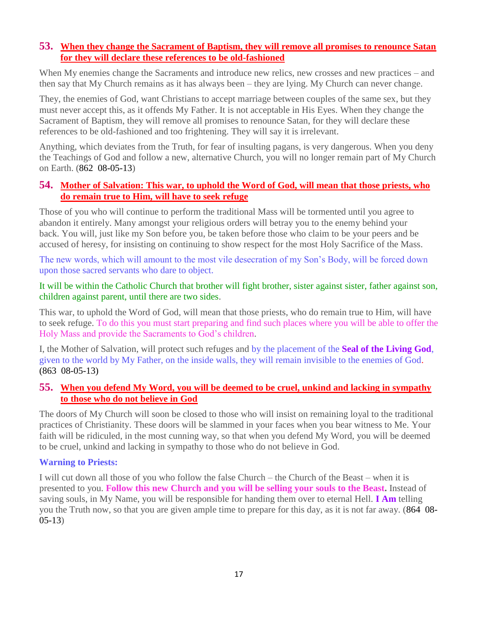#### **53. When they change the Sacrament of Baptism, they will remove all promises to renounce Satan for they will declare these references to be old-fashioned**

When My enemies change the Sacraments and introduce new relics, new crosses and new practices – and then say that My Church remains as it has always been – they are lying. My Church can never change.

They, the enemies of God, want Christians to accept marriage between couples of the same sex, but they must never accept this, as it offends My Father. It is not acceptable in His Eyes. When they change the Sacrament of Baptism, they will remove all promises to renounce Satan, for they will declare these references to be old-fashioned and too frightening. They will say it is irrelevant.

Anything, which deviates from the Truth, for fear of insulting pagans, is very dangerous. When you deny the Teachings of God and follow a new, alternative Church, you will no longer remain part of My Church on Earth. (862 08-05-13)

### **54. [Mother of Salvation: This war, to uphold the Word of God, will mean that those priests, who](http://www.thewarningsecondcoming.com/mother-of-salvation-this-war-to-uphold-the-word-of-god-will-mean-that-those-priests-who-do-remain-true-to-him-will-have-to-seek-refuge/)  [do remain true to Him, will have to seek refuge](http://www.thewarningsecondcoming.com/mother-of-salvation-this-war-to-uphold-the-word-of-god-will-mean-that-those-priests-who-do-remain-true-to-him-will-have-to-seek-refuge/)**

Those of you who will continue to perform the traditional Mass will be tormented until you agree to abandon it entirely. Many amongst your religious orders will betray you to the enemy behind your back. You will, just like my Son before you, be taken before those who claim to be your peers and be accused of heresy, for insisting on continuing to show respect for the most Holy Sacrifice of the Mass.

The new words, which will amount to the most vile desecration of my Son's Body, will be forced down upon those sacred servants who dare to object.

#### It will be within the Catholic Church that brother will fight brother, sister against sister, father against son, children against parent, until there are two sides.

This war, to uphold the Word of God, will mean that those priests, who do remain true to Him, will have to seek refuge. To do this you must start preparing and find such places where you will be able to offer the Holy Mass and provide the Sacraments to God's children.

I, the Mother of Salvation, will protect such refuges and by the placement of the **Seal of the Living God**, given to the world by My Father, on the inside walls, they will remain invisible to the enemies of God. (863 08-05-13)

### **55. [When you defend My Word, you will be deemed to be cruel, unkind and lacking in sympathy](http://www.thewarningsecondcoming.com/when-you-defend-my-word-you-will-be-deemed-to-be-cruel-unkind-and-lacking-in-sympathy-to-those-who-do-not-believe-in-god/)  [to those who do not believe in God](http://www.thewarningsecondcoming.com/when-you-defend-my-word-you-will-be-deemed-to-be-cruel-unkind-and-lacking-in-sympathy-to-those-who-do-not-believe-in-god/)**

The doors of My Church will soon be closed to those who will insist on remaining loyal to the traditional practices of Christianity. These doors will be slammed in your faces when you bear witness to Me. Your faith will be ridiculed, in the most cunning way, so that when you defend My Word, you will be deemed to be cruel, unkind and lacking in sympathy to those who do not believe in God.

#### **Warning to Priests:**

I will cut down all those of you who follow the false Church – the Church of the Beast – when it is presented to you. **Follow this new Church and you will be selling your souls to the Beast.** Instead of saving souls, in My Name, you will be responsible for handing them over to eternal Hell. **I Am** telling you the Truth now, so that you are given ample time to prepare for this day, as it is not far away. (864 08- 05-13)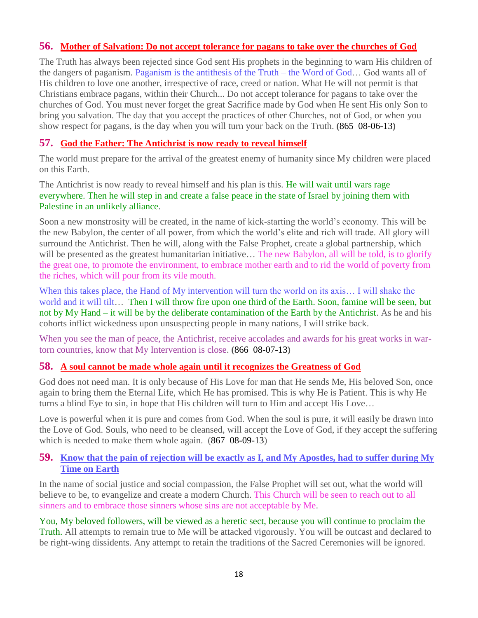### **56. [Mother of Salvation: Do not accept tolerance for pagans to take over the churches of God](http://www.thewarningsecondcoming.com/mother-of-salvation-do-not-accept-tolerance-for-pagans-to-take-over-the-churches-of-god/)**

The Truth has always been rejected since God sent His prophets in the beginning to warn His children of the dangers of paganism. Paganism is the antithesis of the Truth – the Word of God… God wants all of His children to love one another, irrespective of race, creed or nation. What He will not permit is that Christians embrace pagans, within their Church... Do not accept tolerance for pagans to take over the churches of God. You must never forget the great Sacrifice made by God when He sent His only Son to bring you salvation. The day that you accept the practices of other Churches, not of God, or when you show respect for pagans, is the day when you will turn your back on the Truth. **(**865 08-06-13**)**

## **57. [God the Father: The Antichrist is now ready to reveal himself](http://www.thewarningsecondcoming.com/god-the-father-the-antichrist-is-now-ready-to-reveal-himself/)**

The world must prepare for the arrival of the greatest enemy of humanity since My children were placed on this Earth.

The Antichrist is now ready to reveal himself and his plan is this. He will wait until wars rage everywhere. Then he will step in and create a false peace in the state of Israel by joining them with Palestine in an unlikely alliance.

Soon a new monstrosity will be created, in the name of kick-starting the world's economy. This will be the new Babylon, the center of all power, from which the world's elite and rich will trade. All glory will surround the Antichrist. Then he will, along with the False Prophet, create a global partnership, which will be presented as the greatest humanitarian initiative... The new Babylon, all will be told, is to glorify the great one, to promote the environment, to embrace mother earth and to rid the world of poverty from the riches, which will pour from its vile mouth.

When this takes place, the Hand of My intervention will turn the world on its axis... I will shake the world and it will tilt… Then I will throw fire upon one third of the Earth. Soon, famine will be seen, but not by My Hand – it will be by the deliberate contamination of the Earth by the Antichrist. As he and his cohorts inflict wickedness upon unsuspecting people in many nations, I will strike back.

When you see the man of peace, the Antichrist, receive accolades and awards for his great works in wartorn countries, know that My Intervention is close. **(**866 08-07-13**)**

## **58. [A soul cannot be made whole again until it recognizes the Greatness of God](http://www.thewarningsecondcoming.com/a-soul-cannot-be-made-whole-again-until-it-recognises-the-greatness-of-god/)**

God does not need man. It is only because of His Love for man that He sends Me, His beloved Son, once again to bring them the Eternal Life, which He has promised. This is why He is Patient. This is why He turns a blind Eye to sin, in hope that His children will turn to Him and accept His Love…

Love is powerful when it is pure and comes from God. When the soul is pure, it will easily be drawn into the Love of God. Souls, who need to be cleansed, will accept the Love of God, if they accept the suffering which is needed to make them whole again. (867 08-09-13)

### **59. [Know that the pain of rejection will be exactly as I, and My Apostles, had to suffer during My](http://www.thewarningsecondcoming.com/know-that-the-pain-of-rejection-will-be-exactly-as-i-and-my-apostles-had-to-suffer-during-my-time-on-earth/)  [Time on Earth](http://www.thewarningsecondcoming.com/know-that-the-pain-of-rejection-will-be-exactly-as-i-and-my-apostles-had-to-suffer-during-my-time-on-earth/)**

In the name of social justice and social compassion, the False Prophet will set out, what the world will believe to be, to evangelize and create a modern Church. This Church will be seen to reach out to all sinners and to embrace those sinners whose sins are not acceptable by Me.

You, My beloved followers, will be viewed as a heretic sect, because you will continue to proclaim the Truth. All attempts to remain true to Me will be attacked vigorously. You will be outcast and declared to be right-wing dissidents. Any attempt to retain the traditions of the Sacred Ceremonies will be ignored.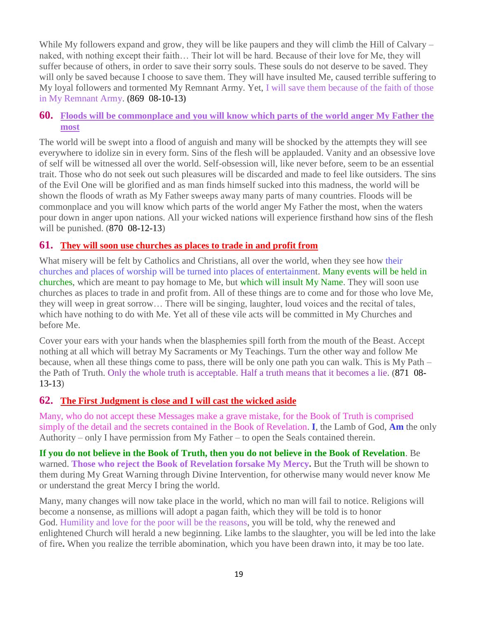While My followers expand and grow, they will be like paupers and they will climb the Hill of Calvary – naked, with nothing except their faith… Their lot will be hard. Because of their love for Me, they will suffer because of others, in order to save their sorry souls. These souls do not deserve to be saved. They will only be saved because I choose to save them. They will have insulted Me, caused terrible suffering to My loyal followers and tormented My Remnant Army. Yet, I will save them because of the faith of those in My Remnant Army. **(**869 08-10-13**)**

## **60. [Floods will be commonplace and you will know which parts of the world anger My Father the](http://www.thewarningsecondcoming.com/floods-will-be-commonplace-and-you-will-know-which-parts-of-the-world-anger-my-father-the-most/)  [most](http://www.thewarningsecondcoming.com/floods-will-be-commonplace-and-you-will-know-which-parts-of-the-world-anger-my-father-the-most/)**

The world will be swept into a flood of anguish and many will be shocked by the attempts they will see everywhere to idolize sin in every form. Sins of the flesh will be applauded. Vanity and an obsessive love of self will be witnessed all over the world. Self-obsession will, like never before, seem to be an essential trait. Those who do not seek out such pleasures will be discarded and made to feel like outsiders. The sins of the Evil One will be glorified and as man finds himself sucked into this madness, the world will be shown the floods of wrath as My Father sweeps away many parts of many countries. Floods will be commonplace and you will know which parts of the world anger My Father the most, when the waters pour down in anger upon nations. All your wicked nations will experience firsthand how sins of the flesh will be punished. (870 08-12-13)

#### **61. [They will soon use churches as places to trade in and profit from](http://www.thewarningsecondcoming.com/they-will-soon-use-churches-as-places-to-trade-in-and-profit-from/)**

What misery will be felt by Catholics and Christians, all over the world, when they see how their churches and places of worship will be turned into places of entertainment. Many events will be held in churches, which are meant to pay homage to Me, but which will insult My Name. They will soon use churches as places to trade in and profit from. All of these things are to come and for those who love Me, they will weep in great sorrow… There will be singing, laughter, loud voices and the recital of tales, which have nothing to do with Me. Yet all of these vile acts will be committed in My Churches and before Me.

Cover your ears with your hands when the blasphemies spill forth from the mouth of the Beast. Accept nothing at all which will betray My Sacraments or My Teachings. Turn the other way and follow Me because, when all these things come to pass, there will be only one path you can walk. This is My Path – the Path of Truth. Only the whole truth is acceptable. Half a truth means that it becomes a lie. (871 08- 13-13)

## **62. [The First Judgment is close and I will cast the wicked aside](http://www.thewarningsecondcoming.com/the-first-judgement-is-close-and-i-will-cast-the-wicked-aside/)**

Many, who do not accept these Messages make a grave mistake, for the Book of Truth is comprised simply of the detail and the secrets contained in the Book of Revelation. **I**, the Lamb of God, **Am** the only Authority – only I have permission from My Father – to open the Seals contained therein.

**If you do not believe in the Book of Truth, then you do not believe in the Book of Revelation**. Be warned. **Those who reject the Book of Revelation forsake My Mercy.** But the Truth will be shown to them during My Great Warning through Divine Intervention, for otherwise many would never know Me or understand the great Mercy I bring the world.

Many, many changes will now take place in the world, which no man will fail to notice. Religions will become a nonsense, as millions will adopt a pagan faith, which they will be told is to honor God. Humility and love for the poor will be the reasons, you will be told, why the renewed and enlightened Church will herald a new beginning. Like lambs to the slaughter, you will be led into the lake of fire**.** When you realize the terrible abomination, which you have been drawn into, it may be too late.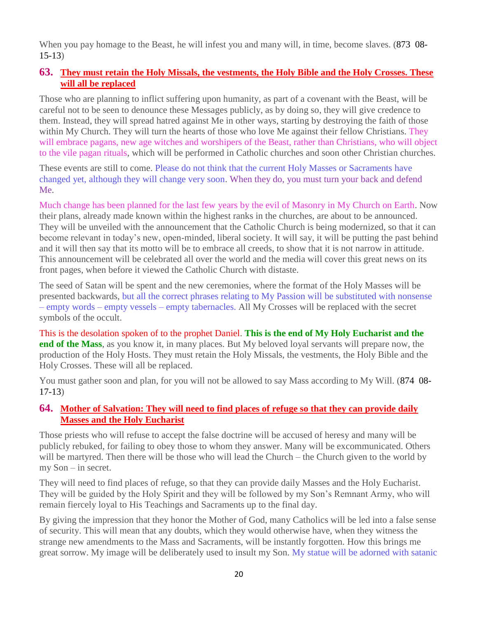When you pay homage to the Beast, he will infest you and many will, in time, become slaves. (873 08-15-13)

### **63. [They must retain the Holy Missals, the vestments, the Holy Bible and the Holy Crosses. These](http://www.thewarningsecondcoming.com/they-must-retain-the-holy-missals-the-vestments-the-holy-bible-and-the-holy-crosses-these-will-all-be-replaced/)  [will all be replaced](http://www.thewarningsecondcoming.com/they-must-retain-the-holy-missals-the-vestments-the-holy-bible-and-the-holy-crosses-these-will-all-be-replaced/)**

Those who are planning to inflict suffering upon humanity, as part of a covenant with the Beast, will be careful not to be seen to denounce these Messages publicly, as by doing so, they will give credence to them. Instead, they will spread hatred against Me in other ways, starting by destroying the faith of those within My Church. They will turn the hearts of those who love Me against their fellow Christians. They will embrace pagans, new age witches and worshipers of the Beast, rather than Christians, who will object to the vile pagan rituals, which will be performed in Catholic churches and soon other Christian churches.

These events are still to come. Please do not think that the current Holy Masses or Sacraments have changed yet, although they will change very soon. When they do, you must turn your back and defend Me.

Much change has been planned for the last few years by the evil of Masonry in My Church on Earth. Now their plans, already made known within the highest ranks in the churches, are about to be announced. They will be unveiled with the announcement that the Catholic Church is being modernized, so that it can become relevant in today's new, open-minded, liberal society. It will say, it will be putting the past behind and it will then say that its motto will be to embrace all creeds, to show that it is not narrow in attitude. This announcement will be celebrated all over the world and the media will cover this great news on its front pages, when before it viewed the Catholic Church with distaste.

The seed of Satan will be spent and the new ceremonies, where the format of the Holy Masses will be presented backwards, but all the correct phrases relating to My Passion will be substituted with nonsense – empty words – empty vessels – empty tabernacles. All My Crosses will be replaced with the secret symbols of the occult.

This is the desolation spoken of to the prophet Daniel. **This is the end of My Holy Eucharist and the end of the Mass**, as you know it, in many places. But My beloved loyal servants will prepare now, the production of the Holy Hosts. They must retain the Holy Missals, the vestments, the Holy Bible and the Holy Crosses. These will all be replaced.

You must gather soon and plan, for you will not be allowed to say Mass according to My Will. (874 08- 17-13)

### **64. [Mother of Salvation: They will need to find places of refuge so that they can provide daily](http://www.thewarningsecondcoming.com/mother-of-salvation-they-will-need-to-find-places-of-refuge-so-that-they-can-provide-daily-masses-and-the-holy-eucharist/)  [Masses and the Holy Eucharist](http://www.thewarningsecondcoming.com/mother-of-salvation-they-will-need-to-find-places-of-refuge-so-that-they-can-provide-daily-masses-and-the-holy-eucharist/)**

Those priests who will refuse to accept the false doctrine will be accused of heresy and many will be publicly rebuked, for failing to obey those to whom they answer. Many will be excommunicated. Others will be martyred. Then there will be those who will lead the Church – the Church given to the world by my Son – in secret.

They will need to find places of refuge, so that they can provide daily Masses and the Holy Eucharist. They will be guided by the Holy Spirit and they will be followed by my Son's Remnant Army, who will remain fiercely loyal to His Teachings and Sacraments up to the final day.

By giving the impression that they honor the Mother of God, many Catholics will be led into a false sense of security. This will mean that any doubts, which they would otherwise have, when they witness the strange new amendments to the Mass and Sacraments, will be instantly forgotten. How this brings me great sorrow. My image will be deliberately used to insult my Son. My statue will be adorned with satanic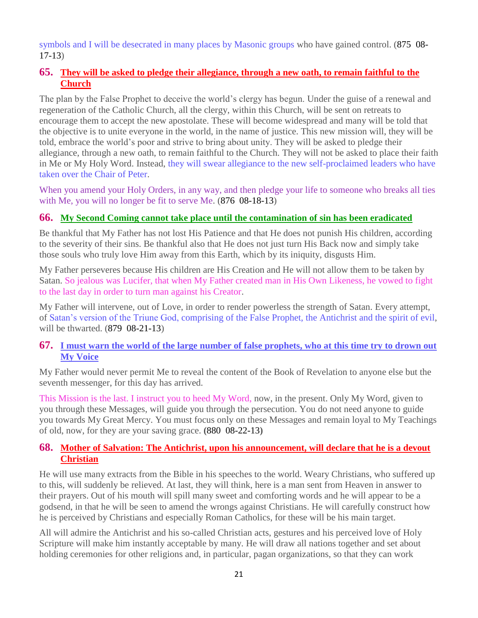symbols and I will be desecrated in many places by Masonic groups who have gained control. (875 08-17-13)

## **65. [They will be asked to pledge their allegiance, through a new oath, to remain faithful to the](http://www.thewarningsecondcoming.com/they-will-be-asked-to-pledge-their-allegiance-through-a-new-oath-to-remain-faithful-to-the-church/)  [Church](http://www.thewarningsecondcoming.com/they-will-be-asked-to-pledge-their-allegiance-through-a-new-oath-to-remain-faithful-to-the-church/)**

The plan by the False Prophet to deceive the world's clergy has begun. Under the guise of a renewal and regeneration of the Catholic Church, all the clergy, within this Church, will be sent on retreats to encourage them to accept the new apostolate. These will become widespread and many will be told that the objective is to unite everyone in the world, in the name of justice. This new mission will, they will be told, embrace the world's poor and strive to bring about unity. They will be asked to pledge their allegiance, through a new oath, to remain faithful to the Church. They will not be asked to place their faith in Me or My Holy Word. Instead, they will swear allegiance to the new self-proclaimed leaders who have taken over the Chair of Peter.

When you amend your Holy Orders, in any way, and then pledge your life to someone who breaks all ties with Me, you will no longer be fit to serve Me. (876 08-18-13)

### **66. [My Second Coming cannot take place until the contamination of sin has been eradicated](http://www.thewarningsecondcoming.com/my-second-coming-cannot-take-place-until-the-contamination-of-sin-has-been-eradicated/)**

Be thankful that My Father has not lost His Patience and that He does not punish His children, according to the severity of their sins. Be thankful also that He does not just turn His Back now and simply take those souls who truly love Him away from this Earth, which by its iniquity, disgusts Him.

My Father perseveres because His children are His Creation and He will not allow them to be taken by Satan. So jealous was Lucifer, that when My Father created man in His Own Likeness, he vowed to fight to the last day in order to turn man against his Creator.

My Father will intervene, out of Love, in order to render powerless the strength of Satan. Every attempt, of Satan's version of the Triune God, comprising of the False Prophet, the Antichrist and the spirit of evil, will be thwarted. (879 08-21-13)

### **67. [I must warn the world of the large number of false prophets, who at this time try to drown out](http://www.thewarningsecondcoming.com/i-must-warn-the-world-of-the-large-number-of-false-prophets-who-at-this-time-try-to-drown-out-my-voice/)  [My Voice](http://www.thewarningsecondcoming.com/i-must-warn-the-world-of-the-large-number-of-false-prophets-who-at-this-time-try-to-drown-out-my-voice/)**

My Father would never permit Me to reveal the content of the Book of Revelation to anyone else but the seventh messenger, for this day has arrived.

This Mission is the last. I instruct you to heed My Word, now, in the present. Only My Word, given to you through these Messages, will guide you through the persecution. You do not need anyone to guide you towards My Great Mercy. You must focus only on these Messages and remain loyal to My Teachings of old, now, for they are your saving grace. **(**880 08-22-13**)**

## **68. [Mother of Salvation: The Antichrist, upon his announcement, will declare that he is a devout](http://www.thewarningsecondcoming.com/mother-of-salvation-the-antichrist-upon-his-announcement-will-declare-that-he-is-a-devout-christian/)  [Christian](http://www.thewarningsecondcoming.com/mother-of-salvation-the-antichrist-upon-his-announcement-will-declare-that-he-is-a-devout-christian/)**

He will use many extracts from the Bible in his speeches to the world. Weary Christians, who suffered up to this, will suddenly be relieved. At last, they will think, here is a man sent from Heaven in answer to their prayers. Out of his mouth will spill many sweet and comforting words and he will appear to be a godsend, in that he will be seen to amend the wrongs against Christians. He will carefully construct how he is perceived by Christians and especially Roman Catholics, for these will be his main target.

All will admire the Antichrist and his so-called Christian acts, gestures and his perceived love of Holy Scripture will make him instantly acceptable by many. He will draw all nations together and set about holding ceremonies for other religions and, in particular, pagan organizations, so that they can work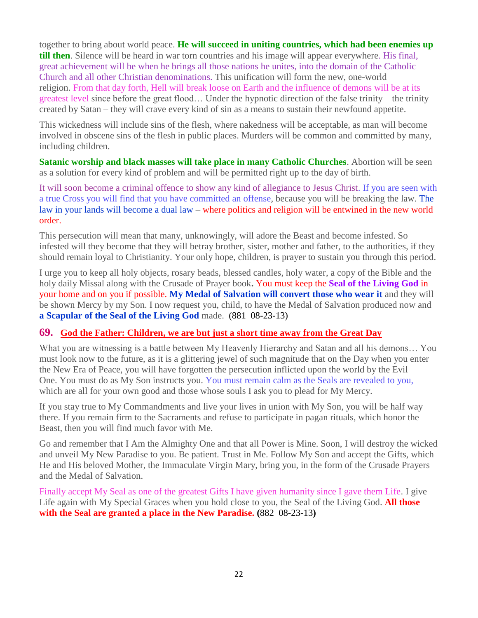together to bring about world peace. **He will succeed in uniting countries, which had been enemies up till then**. Silence will be heard in war torn countries and his image will appear everywhere. His final, great achievement will be when he brings all those nations he unites, into the domain of the Catholic Church and all other Christian denominations. This unification will form the new, one-world religion. From that day forth, Hell will break loose on Earth and the influence of demons will be at its greatest level since before the great flood… Under the hypnotic direction of the false trinity – the trinity created by Satan – they will crave every kind of sin as a means to sustain their newfound appetite.

This wickedness will include sins of the flesh, where nakedness will be acceptable, as man will become involved in obscene sins of the flesh in public places. Murders will be common and committed by many, including children.

**Satanic worship and black masses will take place in many Catholic Churches**. Abortion will be seen as a solution for every kind of problem and will be permitted right up to the day of birth.

It will soon become a criminal offence to show any kind of allegiance to Jesus Christ. If you are seen with a true Cross you will find that you have committed an offense, because you will be breaking the law. The law in your lands will become a dual law – where politics and religion will be entwined in the new world order.

This persecution will mean that many, unknowingly, will adore the Beast and become infested. So infested will they become that they will betray brother, sister, mother and father, to the authorities, if they should remain loyal to Christianity. Your only hope, children, is prayer to sustain you through this period.

I urge you to keep all holy objects, rosary beads, blessed candles, holy water, a copy of the Bible and the holy daily Missal along with the Crusade of Prayer book**.** You must keep the **Seal of the Living God** in your home and on you if possible. **My Medal of Salvation will convert those who wear it** and they will be shown Mercy by my Son. I now request you, child, to have the Medal of Salvation produced now and **a Scapular of the Seal of the Living God** made. (881 08-23-13)

## **69. God the Father: Children, [we are but just a short time away from the Great Day](http://www.thewarningsecondcoming.com/god-the-father-children-we-are-but-just-a-short-time-away-from-the-great-day/)**

What you are witnessing is a battle between My Heavenly Hierarchy and Satan and all his demons… You must look now to the future, as it is a glittering jewel of such magnitude that on the Day when you enter the New Era of Peace, you will have forgotten the persecution inflicted upon the world by the Evil One. You must do as My Son instructs you. You must remain calm as the Seals are revealed to you, which are all for your own good and those whose souls I ask you to plead for My Mercy.

If you stay true to My Commandments and live your lives in union with My Son, you will be half way there. If you remain firm to the Sacraments and refuse to participate in pagan rituals, which honor the Beast, then you will find much favor with Me.

Go and remember that I Am the Almighty One and that all Power is Mine. Soon, I will destroy the wicked and unveil My New Paradise to you. Be patient. Trust in Me. Follow My Son and accept the Gifts, which He and His beloved Mother, the Immaculate Virgin Mary, bring you, in the form of the Crusade Prayers and the Medal of Salvation.

Finally accept My Seal as one of the greatest Gifts I have given humanity since I gave them Life. I give Life again with My Special Graces when you hold close to you, the Seal of the Living God. **All those with the Seal are granted a place in the New Paradise. (**882 08-23-13**)**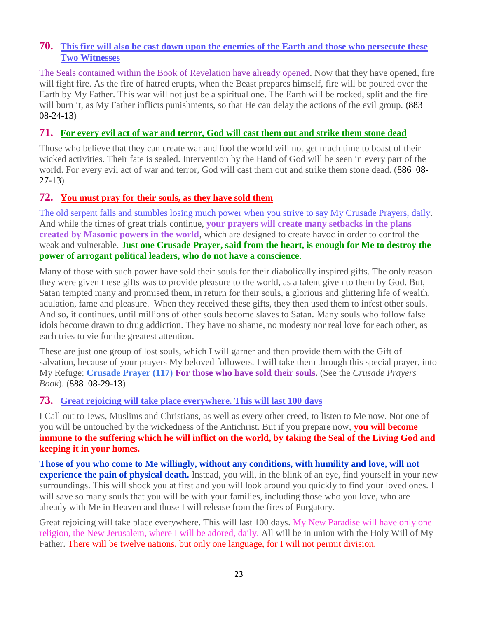## **70. [This fire will also be cast down upon the enemies of the Earth and those who persecute these](http://www.thewarningsecondcoming.com/this-fire-will-also-be-cast-down-upon-the-enemies-of-the-earth-and-those-who-persecute-these-two-witnesses/)  [Two Witnesses](http://www.thewarningsecondcoming.com/this-fire-will-also-be-cast-down-upon-the-enemies-of-the-earth-and-those-who-persecute-these-two-witnesses/)**

The Seals contained within the Book of Revelation have already opened. Now that they have opened, fire will fight fire. As the fire of hatred erupts, when the Beast prepares himself, fire will be poured over the Earth by My Father. This war will not just be a spiritual one. The Earth will be rocked, split and the fire will burn it, as My Father inflicts punishments, so that He can delay the actions of the evil group. **(**883 08-24-13**)**

#### **71. [For every evil act of war and terror, God will cast them out and strike them stone dead](http://www.thewarningsecondcoming.com/for-every-evil-act-of-war-and-terror-god-will-cast-them-out-and-strike-them-stone-dead/)**

Those who believe that they can create war and fool the world will not get much time to boast of their wicked activities. Their fate is sealed. Intervention by the Hand of God will be seen in every part of the world. For every evil act of war and terror, God will cast them out and strike them stone dead. (886 08- 27-13)

#### **72. [You must pray for their souls, as they have sold them](http://www.thewarningsecondcoming.com/you-must-pray-for-their-souls-as-they-have-sold-them/)**

The old serpent falls and stumbles losing much power when you strive to say My Crusade Prayers, daily. And while the times of great trials continue, **your prayers will create many setbacks in the plans created by Masonic powers in the world**, which are designed to create havoc in order to control the weak and vulnerable. **Just one Crusade Prayer, said from the heart, is enough for Me to destroy the power of arrogant political leaders, who do not have a conscience**.

Many of those with such power have sold their souls for their diabolically inspired gifts. The only reason they were given these gifts was to provide pleasure to the world, as a talent given to them by God. But, Satan tempted many and promised them, in return for their souls, a glorious and glittering life of wealth, adulation, fame and pleasure. When they received these gifts, they then used them to infest other souls. And so, it continues, until millions of other souls become slaves to Satan. Many souls who follow false idols become drawn to drug addiction. They have no shame, no modesty nor real love for each other, as each tries to vie for the greatest attention.

These are just one group of lost souls, which I will garner and then provide them with the Gift of salvation, because of your prayers My beloved followers. I will take them through this special prayer, into My Refuge: **Crusade Prayer (117) For those who have sold their souls.** (See the *Crusade Prayers Book*). (888 08-29-13)

## **73. [Great rejoicing will take place everywhere.](http://www.thewarningsecondcoming.com/great-rejoicing-will-take-place-everywhere-this-will-last-100-days-2/) This will last 100 days**

I Call out to Jews, Muslims and Christians, as well as every other creed, to listen to Me now. Not one of you will be untouched by the wickedness of the Antichrist. But if you prepare now, **you will become immune to the suffering which he will inflict on the world, by taking the Seal of the Living God and keeping it in your homes.**

**Those of you who come to Me willingly, without any conditions, with humility and love, will not experience the pain of physical death.** Instead, you will, in the blink of an eye, find yourself in your new surroundings. This will shock you at first and you will look around you quickly to find your loved ones. I will save so many souls that you will be with your families, including those who you love, who are already with Me in Heaven and those I will release from the fires of Purgatory.

Great rejoicing will take place everywhere. This will last 100 days. My New Paradise will have only one religion, the New Jerusalem, where I will be adored, daily. All will be in union with the Holy Will of My Father. There will be twelve nations, but only one language, for I will not permit division.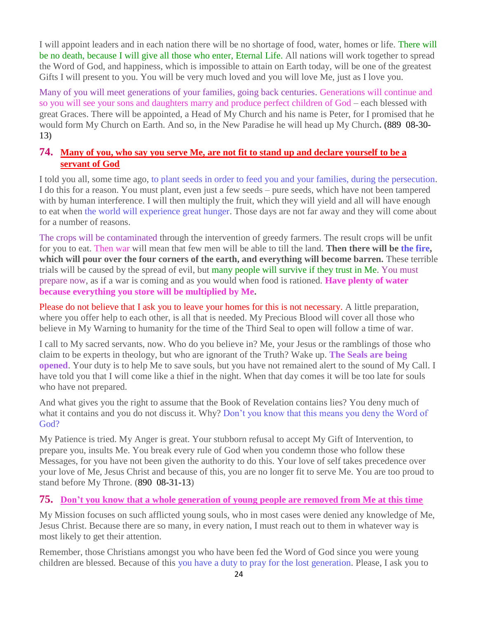I will appoint leaders and in each nation there will be no shortage of food, water, homes or life. There will be no death, because I will give all those who enter, Eternal Life. All nations will work together to spread the Word of God, and happiness, which is impossible to attain on Earth today, will be one of the greatest Gifts I will present to you. You will be very much loved and you will love Me, just as I love you.

Many of you will meet generations of your families, going back centuries. Generations will continue and so you will see your sons and daughters marry and produce perfect children of God – each blessed with great Graces. There will be appointed, a Head of My Church and his name is Peter, for I promised that he would form My Church on Earth. And so, in the New Paradise he will head up My Church**. (**889 08-30- 13**)**

## **74. [Many of you, who say you serve Me, are not fit to stand up and declare yourself to be a](http://www.thewarningsecondcoming.com/many-of-you-who-say-you-serve-me-are-not-fit-to-stand-up-and-declare-yourself-to-be-a-servant-of-god/)  [servant of God](http://www.thewarningsecondcoming.com/many-of-you-who-say-you-serve-me-are-not-fit-to-stand-up-and-declare-yourself-to-be-a-servant-of-god/)**

I told you all, some time ago, to plant seeds in order to feed you and your families, during the persecution. I do this for a reason. You must plant, even just a few seeds – pure seeds, which have not been tampered with by human interference. I will then multiply the fruit, which they will yield and all will have enough to eat when the world will experience great hunger. Those days are not far away and they will come about for a number of reasons.

The crops will be contaminated through the intervention of greedy farmers. The result crops will be unfit for you to eat. Then war will mean that few men will be able to till the land. **Then there will be the fire, which will pour over the four corners of the earth, and everything will become barren.** These terrible trials will be caused by the spread of evil, but many people will survive if they trust in Me. You must prepare now, as if a war is coming and as you would when food is rationed. **Have plenty of water because everything you store will be multiplied by Me.**

Please do not believe that I ask you to leave your homes for this is not necessary. A little preparation, where you offer help to each other, is all that is needed. My Precious Blood will cover all those who believe in My Warning to humanity for the time of the Third Seal to open will follow a time of war.

I call to My sacred servants, now. Who do you believe in? Me, your Jesus or the ramblings of those who claim to be experts in theology, but who are ignorant of the Truth? Wake up. **The Seals are being opened**. Your duty is to help Me to save souls, but you have not remained alert to the sound of My Call. I have told you that I will come like a thief in the night. When that day comes it will be too late for souls who have not prepared.

And what gives you the right to assume that the Book of Revelation contains lies? You deny much of what it contains and you do not discuss it. Why? Don't you know that this means you deny the Word of God?

My Patience is tried. My Anger is great. Your stubborn refusal to accept My Gift of Intervention, to prepare you, insults Me. You break every rule of God when you condemn those who follow these Messages, for you have not been given the authority to do this. Your love of self takes precedence over your love of Me, Jesus Christ and because of this, you are no longer fit to serve Me. You are too proud to stand before My Throne. (890 08-31-13)

## **75. Don't [you know that a whole generation of young people are removed from Me at this time](http://www.thewarningsecondcoming.com/dont-you-know-that-a-whole-generation-of-young-people-are-removed-from-me-at-this-time/)**

My Mission focuses on such afflicted young souls, who in most cases were denied any knowledge of Me, Jesus Christ. Because there are so many, in every nation, I must reach out to them in whatever way is most likely to get their attention.

Remember, those Christians amongst you who have been fed the Word of God since you were young children are blessed. Because of this you have a duty to pray for the lost generation. Please, I ask you to